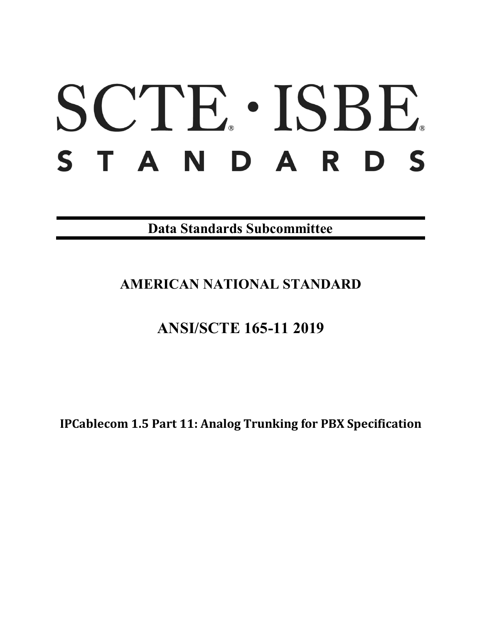# SCTE. ISBE. STANDARDS

**Data Standards Subcommittee**

# **AMERICAN NATIONAL STANDARD**

# **ANSI/SCTE 165-11 2019**

**IPCablecom 1.5 Part 11: Analog Trunking for PBX Specification**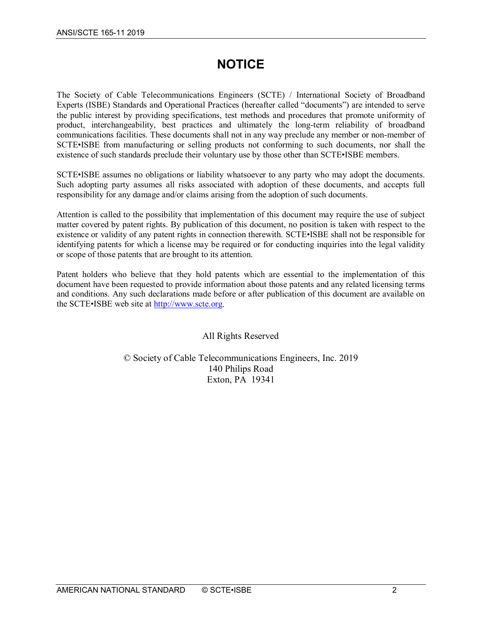# **NOTICE**

The Society of Cable Telecommunications Engineers (SCTE) / International Society of Broadband Experts (ISBE) Standards and Operational Practices (hereafter called "documents") are intended to serve the public interest by providing specifications, test methods and procedures that promote uniformity of product, interchangeability, best practices and ultimately the long-term reliability of broadband communications facilities. These documents shall not in any way preclude any member or non-member of SCTE•ISBE from manufacturing or selling products not conforming to such documents, nor shall the existence of such standards preclude their voluntary use by those other than SCTE•ISBE members.

SCTE•ISBE assumes no obligations or liability whatsoever to any party who may adopt the documents. Such adopting party assumes all risks associated with adoption of these documents, and accepts full responsibility for any damage and/or claims arising from the adoption of such documents.

Attention is called to the possibility that implementation of this document may require the use of subject matter covered by patent rights. By publication of this document, no position is taken with respect to the existence or validity of any patent rights in connection therewith. SCTE•ISBE shall not be responsible for identifying patents for which a license may be required or for conducting inquiries into the legal validity or scope of those patents that are brought to its attention.

Patent holders who believe that they hold patents which are essential to the implementation of this document have been requested to provide information about those patents and any related licensing terms and conditions. Any such declarations made before or after publication of this document are available on the SCTE•ISBE web site at [http://www.scte.org.](http://www.scte.org/)

## All Rights Reserved

## © Society of Cable Telecommunications Engineers, Inc. 2019 140 Philips Road Exton, PA 19341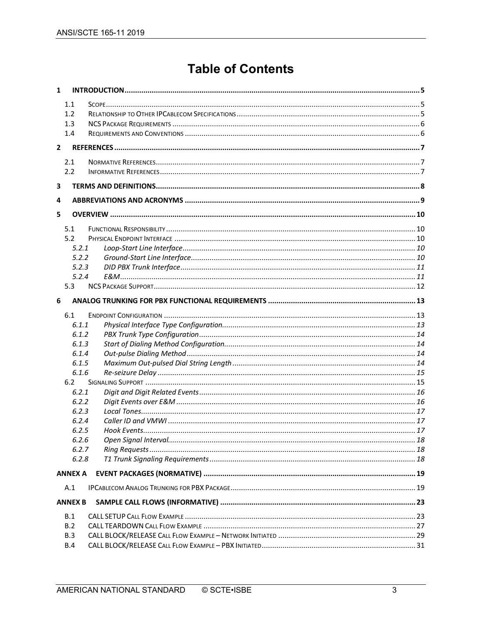# **Table of Contents**

| $\mathbf{1}$ |                |  |
|--------------|----------------|--|
|              | 1.1            |  |
|              | 1.2            |  |
|              | 1.3            |  |
|              | 1.4            |  |
| $\mathbf{2}$ |                |  |
|              | 2.1            |  |
|              | 2.2            |  |
| 3            |                |  |
| 4            |                |  |
| 5            |                |  |
|              | 5.1            |  |
|              | 5.2            |  |
|              | 5.2.1          |  |
|              | 5.2.2          |  |
|              | 5.2.3          |  |
|              | 5.2.4          |  |
|              | 5.3            |  |
| 6            |                |  |
|              | 6.1            |  |
|              | 6.1.1          |  |
|              | 6.1.2          |  |
|              | 6.1.3          |  |
|              | 6.1.4          |  |
|              | 6.1.5          |  |
|              | 6.1.6          |  |
|              | 6.2            |  |
|              | 6.2.1          |  |
|              | 6.2.2          |  |
|              | 6.2.3          |  |
|              | 6.2.4          |  |
|              | 6.2.5          |  |
|              | 6.2.6          |  |
|              | 6.2.7          |  |
|              | 6.2.8          |  |
|              | <b>ANNEX A</b> |  |
|              | A.1            |  |
|              | <b>ANNEX B</b> |  |
|              | B.1            |  |
|              | B.2            |  |
|              | B.3            |  |
|              | B.4            |  |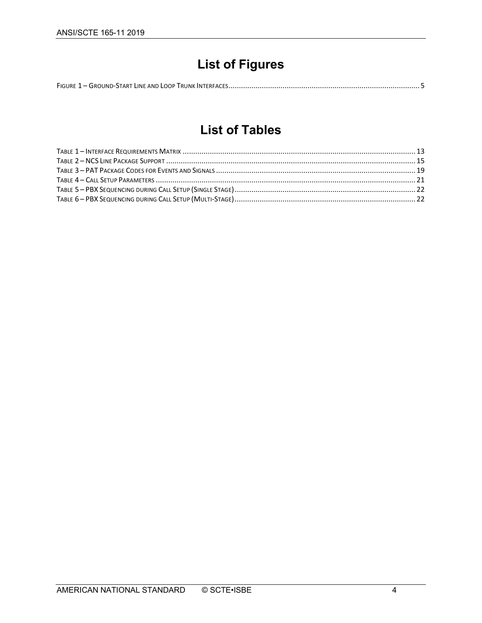# **List of Figures**

# **List of Tables**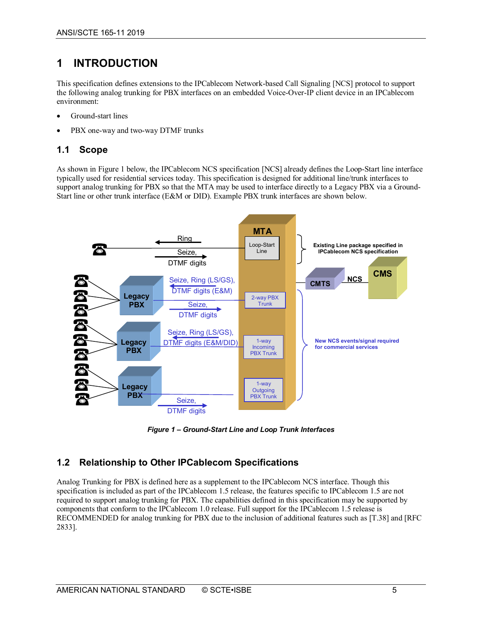# <span id="page-4-0"></span>**1 INTRODUCTION**

This specification defines extensions to the IPCablecom Network-based Call Signaling [\[NCS\]](#page-6-3) protocol to support the following analog trunking for PBX interfaces on an embedded Voice-Over-IP client device in an IPCablecom environment:

- Ground-start lines
- PBX one-way and two-way DTMF trunks

# <span id="page-4-1"></span>**1.1 Scope**

As shown in [Figure](#page-4-3) 1 below, the IPCablecom NCS specification [\[NCS\]](#page-6-3) already defines the Loop-Start line interface typically used for residential services today. This specification is designed for additional line/trunk interfaces to support analog trunking for PBX so that the MTA may be used to interface directly to a Legacy PBX via a Ground-Start line or other trunk interface (E&M or DID). Example PBX trunk interfaces are shown below.



*Figure 1 – Ground-Start Line and Loop Trunk Interfaces*

# <span id="page-4-3"></span><span id="page-4-2"></span>**1.2 Relationship to Other IPCablecom Specifications**

Analog Trunking for PBX is defined here as a supplement to the IPCablecom NCS interface. Though this specification is included as part of the IPCablecom 1.5 release, the features specific to IPCablecom 1.5 are not required to support analog trunking for PBX. The capabilities defined in this specification may be supported by components that conform to the IPCablecom 1.0 release. Full support for the IPCablecom 1.5 release is RECOMMENDED for analog trunking for PBX due to the inclusion of additional features such as [\[T.38\]](#page-6-4) an[d \[RFC](#page-6-5)  [2833\].](#page-6-5)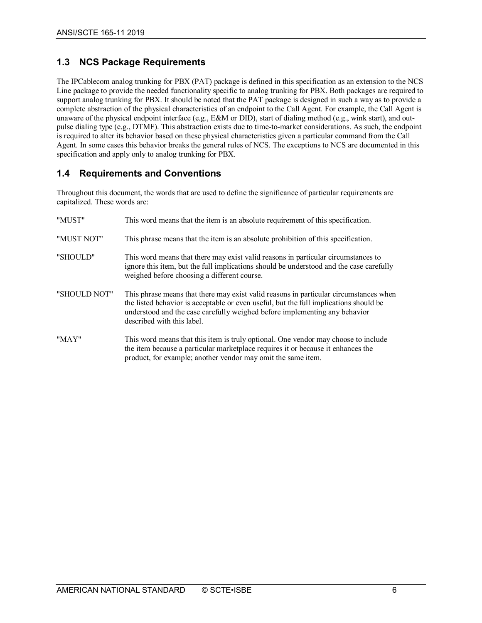# <span id="page-5-0"></span>**1.3 NCS Package Requirements**

The IPCablecom analog trunking for PBX (PAT) package is defined in this specification as an extension to the NCS Line package to provide the needed functionality specific to analog trunking for PBX. Both packages are required to support analog trunking for PBX. It should be noted that the PAT package is designed in such a way as to provide a complete abstraction of the physical characteristics of an endpoint to the Call Agent. For example, the Call Agent is unaware of the physical endpoint interface (e.g., E&M or DID), start of dialing method (e.g., wink start), and outpulse dialing type (e.g., DTMF). This abstraction exists due to time-to-market considerations. As such, the endpoint is required to alter its behavior based on these physical characteristics given a particular command from the Call Agent. In some cases this behavior breaks the general rules of NCS. The exceptions to NCS are documented in this specification and apply only to analog trunking for PBX.

## <span id="page-5-1"></span>**1.4 Requirements and Conventions**

Throughout this document, the words that are used to define the significance of particular requirements are capitalized. These words are:

| "MUST"       | This word means that the item is an absolute requirement of this specification.                                                                                                                                                                                                            |
|--------------|--------------------------------------------------------------------------------------------------------------------------------------------------------------------------------------------------------------------------------------------------------------------------------------------|
| "MUST NOT"   | This phrase means that the item is an absolute prohibition of this specification.                                                                                                                                                                                                          |
| "SHOULD"     | This word means that there may exist valid reasons in particular circumstances to<br>ignore this item, but the full implications should be understood and the case carefully<br>weighed before choosing a different course.                                                                |
| "SHOULD NOT" | This phrase means that there may exist valid reasons in particular circumstances when<br>the listed behavior is acceptable or even useful, but the full implications should be<br>understood and the case carefully weighed before implementing any behavior<br>described with this label. |
| "MAY"        | This word means that this item is truly optional. One vendor may choose to include<br>the item because a particular marketplace requires it or because it enhances the<br>product, for example; another vendor may omit the same item.                                                     |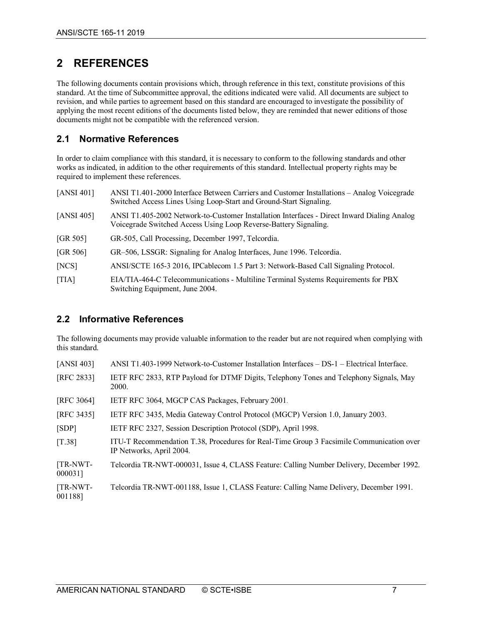# <span id="page-6-0"></span>**2 REFERENCES**

The following documents contain provisions which, through reference in this text, constitute provisions of this standard. At the time of Subcommittee approval, the editions indicated were valid. All documents are subject to revision, and while parties to agreement based on this standard are encouraged to investigate the possibility of applying the most recent editions of the documents listed below, they are reminded that newer editions of those documents might not be compatible with the referenced version.

# <span id="page-6-1"></span>**2.1 Normative References**

In order to claim compliance with this standard, it is necessary to conform to the following standards and other works as indicated, in addition to the other requirements of this standard. Intellectual property rights may be required to implement these references.

<span id="page-6-9"></span><span id="page-6-8"></span><span id="page-6-6"></span>

| [ANSI 401] | ANSI T1.401-2000 Interface Between Carriers and Customer Installations - Analog Voicegrade<br>Switched Access Lines Using Loop-Start and Ground-Start Signaling. |
|------------|------------------------------------------------------------------------------------------------------------------------------------------------------------------|
| [ANSI 405] | ANSI T1.405-2002 Network-to-Customer Installation Interfaces - Direct Inward Dialing Analog<br>Voicegrade Switched Access Using Loop Reverse-Battery Signaling.  |
| [GR 505]   | GR-505, Call Processing, December 1997, Telcordia.                                                                                                               |
| [GR 506]   | GR-506, LSSGR: Signaling for Analog Interfaces, June 1996. Telcordia.                                                                                            |
| [NCS]      | ANSI/SCTE 165-3 2016, IPCablecom 1.5 Part 3: Network-Based Call Signaling Protocol.                                                                              |
| [TIA]      | EIA/TIA-464-C Telecommunications - Multiline Terminal Systems Requirements for PBX<br>Switching Equipment, June 2004.                                            |

## <span id="page-6-7"></span><span id="page-6-3"></span><span id="page-6-2"></span>**2.2 Informative References**

The following documents may provide valuable information to the reader but are not required when complying with this standard.

<span id="page-6-11"></span><span id="page-6-10"></span><span id="page-6-5"></span><span id="page-6-4"></span>

| [ANSI 403]          | ANSI $T1.403-1999$ Network-to-Customer Installation Interfaces $-$ DS-1 $-$ Electrical Interface.                    |
|---------------------|----------------------------------------------------------------------------------------------------------------------|
| [RFC 2833]          | IETF RFC 2833, RTP Payload for DTMF Digits, Telephony Tones and Telephony Signals, May<br>2000.                      |
| [RFC 3064]          | IETF RFC 3064, MGCP CAS Packages, February 2001.                                                                     |
| [RFC 3435]          | IETF RFC 3435, Media Gateway Control Protocol (MGCP) Version 1.0, January 2003.                                      |
| [SDP]               | IETF RFC 2327, Session Description Protocol (SDP), April 1998.                                                       |
| [T.38]              | ITU-T Recommendation T.38, Procedures for Real-Time Group 3 Facsimile Communication over<br>IP Networks, April 2004. |
| [TR-NWT-<br>0000311 | Telcordia TR-NWT-000031, Issue 4, CLASS Feature: Calling Number Delivery, December 1992.                             |
| [TR-NWT-<br>0011881 | Telcordia TR-NWT-001188, Issue 1, CLASS Feature: Calling Name Delivery, December 1991.                               |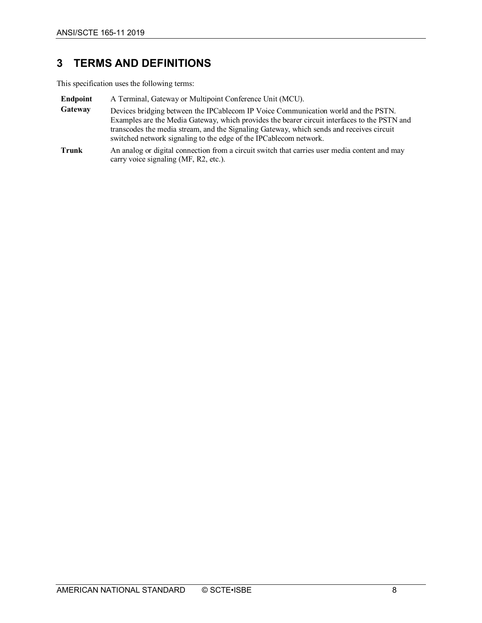# <span id="page-7-0"></span>**3 TERMS AND DEFINITIONS**

This specification uses the following terms:

- **Endpoint** A Terminal, Gateway or Multipoint Conference Unit (MCU).
- **Gateway** Devices bridging between the IPCablecom IP Voice Communication world and the PSTN. Examples are the Media Gateway, which provides the bearer circuit interfaces to the PSTN and transcodes the media stream, and the Signaling Gateway, which sends and receives circuit switched network signaling to the edge of the IPCablecom network.
- **Trunk** An analog or digital connection from a circuit switch that carries user media content and may carry voice signaling (MF, R2, etc.).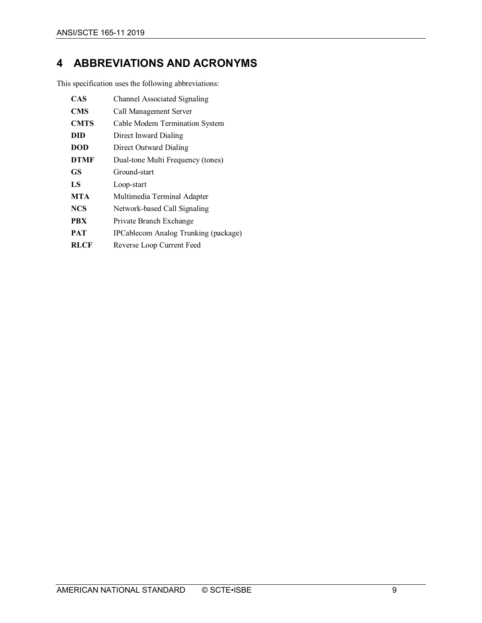# <span id="page-8-0"></span>**4 ABBREVIATIONS AND ACRONYMS**

This specification uses the following abbreviations:

| <b>CAS</b>  | Channel Associated Signaling         |
|-------------|--------------------------------------|
| <b>CMS</b>  | Call Management Server               |
| <b>CMTS</b> | Cable Modem Termination System       |
| DID         | Direct Inward Dialing                |
| <b>DOD</b>  | Direct Outward Dialing               |
| <b>DTMF</b> | Dual-tone Multi Frequency (tones)    |
| <b>GS</b>   | Ground-start                         |
| LS          | Loop-start                           |
| <b>MTA</b>  | Multimedia Terminal Adapter          |
| <b>NCS</b>  | Network-based Call Signaling         |
| <b>PBX</b>  | Private Branch Exchange              |
| <b>PAT</b>  | IPCablecom Analog Trunking (package) |
| <b>RLCF</b> | Reverse Loop Current Feed            |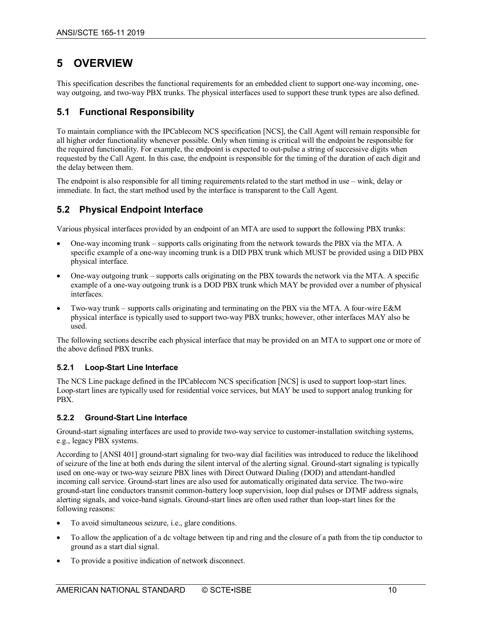# <span id="page-9-0"></span>**5 OVERVIEW**

This specification describes the functional requirements for an embedded client to support one-way incoming, oneway outgoing, and two-way PBX trunks. The physical interfaces used to support these trunk types are also defined.

## <span id="page-9-1"></span>**5.1 Functional Responsibility**

To maintain compliance with the IPCablecom NCS specification [\[NCS\],](#page-6-3) the Call Agent will remain responsible for all higher order functionality whenever possible. Only when timing is critical will the endpoint be responsible for the required functionality. For example, the endpoint is expected to out-pulse a string of successive digits when requested by the Call Agent. In this case, the endpoint is responsible for the timing of the duration of each digit and the delay between them.

The endpoint is also responsible for all timing requirements related to the start method in use – wink, delay or immediate. In fact, the start method used by the interface is transparent to the Call Agent.

# <span id="page-9-2"></span>**5.2 Physical Endpoint Interface**

Various physical interfaces provided by an endpoint of an MTA are used to support the following PBX trunks:

- One-way incoming trunk supports calls originating from the network towards the PBX via the MTA. A specific example of a one-way incoming trunk is a DID PBX trunk which MUST be provided using a DID PBX physical interface.
- One-way outgoing trunk supports calls originating on the PBX towards the network via the MTA. A specific example of a one-way outgoing trunk is a DOD PBX trunk which MAY be provided over a number of physical interfaces.
- Two-way trunk supports calls originating and terminating on the PBX via the MTA. A four-wire E&M physical interface is typically used to support two-way PBX trunks; however, other interfaces MAY also be used.

The following sections describe each physical interface that may be provided on an MTA to support one or more of the above defined PBX trunks.

#### <span id="page-9-3"></span>**5.2.1 Loop-Start Line Interface**

The NCS Line package defined in the IPCablecom NCS specification [\[NCS\]](#page-6-3) is used to support loop-start lines. Loop-start lines are typically used for residential voice services, but MAY be used to support analog trunking for PBX.

#### <span id="page-9-4"></span>**5.2.2 Ground-Start Line Interface**

Ground-start signaling interfaces are used to provide two-way service to customer-installation switching systems, e.g., legacy PBX systems.

According to [\[ANSI](#page-6-6) 401] ground-start signaling for two-way dial facilities was introduced to reduce the likelihood of seizure of the line at both ends during the silent interval of the alerting signal. Ground-start signaling is typically used on one-way or two-way seizure PBX lines with Direct Outward Dialing (DOD) and attendant-handled incoming call service. Ground-start lines are also used for automatically originated data service. The two-wire ground-start line conductors transmit common-battery loop supervision, loop dial pulses or DTMF address signals, alerting signals, and voice-band signals. Ground-start lines are often used rather than loop-start lines for the following reasons:

- To avoid simultaneous seizure, i.e., glare conditions.
- To allow the application of a dc voltage between tip and ring and the closure of a path from the tip conductor to ground as a start dial signal.
- To provide a positive indication of network disconnect.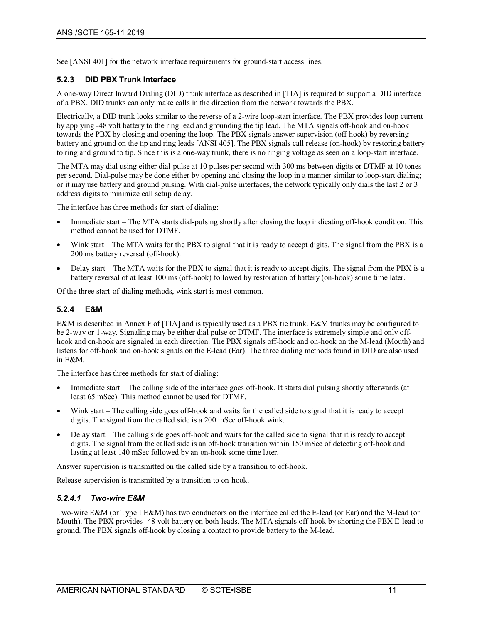See [\[ANSI](#page-6-6) 401] for the network interface requirements for ground-start access lines.

#### <span id="page-10-0"></span>**5.2.3 DID PBX Trunk Interface**

A one-way Direct Inward Dialing (DID) trunk interface as described in [\[TIA\]](#page-6-7) is required to support a DID interface of a PBX. DID trunks can only make calls in the direction from the network towards the PBX.

Electrically, a DID trunk looks similar to the reverse of a 2-wire loop-start interface. The PBX provides loop current by applying -48 volt battery to the ring lead and grounding the tip lead. The MTA signals off-hook and on-hook towards the PBX by closing and opening the loop. The PBX signals answer supervision (off-hook) by reversing battery and ground on the tip and ring leads [\[ANSI](#page-6-8) 405]. The PBX signals call release (on-hook) by restoring battery to ring and ground to tip. Since this is a one-way trunk, there is no ringing voltage as seen on a loop-start interface.

The MTA may dial using either dial-pulse at 10 pulses per second with 300 ms between digits or DTMF at 10 tones per second. Dial-pulse may be done either by opening and closing the loop in a manner similar to loop-start dialing; or it may use battery and ground pulsing. With dial-pulse interfaces, the network typically only dials the last 2 or 3 address digits to minimize call setup delay.

The interface has three methods for start of dialing:

- Immediate start The MTA starts dial-pulsing shortly after closing the loop indicating off-hook condition. This method cannot be used for DTMF.
- Wink start The MTA waits for the PBX to signal that it is ready to accept digits. The signal from the PBX is a 200 ms battery reversal (off-hook).
- Delay start The MTA waits for the PBX to signal that it is ready to accept digits. The signal from the PBX is a battery reversal of at least 100 ms (off-hook) followed by restoration of battery (on-hook) some time later.

Of the three start-of-dialing methods, wink start is most common.

#### <span id="page-10-1"></span>**5.2.4 E&M**

E&M is described in Annex F o[f \[TIA\]](#page-6-7) and is typically used as a PBX tie trunk. E&M trunks may be configured to be 2-way or 1-way. Signaling may be either dial pulse or DTMF. The interface is extremely simple and only offhook and on-hook are signaled in each direction. The PBX signals off-hook and on-hook on the M-lead (Mouth) and listens for off-hook and on-hook signals on the E-lead (Ear). The three dialing methods found in DID are also used in E&M.

The interface has three methods for start of dialing:

- Immediate start The calling side of the interface goes off-hook. It starts dial pulsing shortly afterwards (at least 65 mSec). This method cannot be used for DTMF.
- Wink start The calling side goes off-hook and waits for the called side to signal that it is ready to accept digits. The signal from the called side is a 200 mSec off-hook wink.
- Delay start The calling side goes off-hook and waits for the called side to signal that it is ready to accept digits. The signal from the called side is an off-hook transition within 150 mSec of detecting off-hook and lasting at least 140 mSec followed by an on-hook some time later.

Answer supervision is transmitted on the called side by a transition to off-hook.

Release supervision is transmitted by a transition to on-hook.

#### *5.2.4.1 Two-wire E&M*

Two-wire E&M (or Type I E&M) has two conductors on the interface called the E-lead (or Ear) and the M-lead (or Mouth). The PBX provides -48 volt battery on both leads. The MTA signals off-hook by shorting the PBX E-lead to ground. The PBX signals off-hook by closing a contact to provide battery to the M-lead.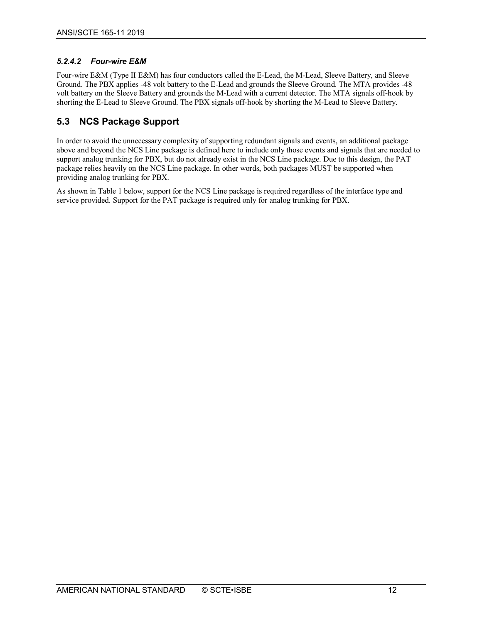#### *5.2.4.2 Four-wire E&M*

Four-wire E&M (Type II E&M) has four conductors called the E-Lead, the M-Lead, Sleeve Battery, and Sleeve Ground. The PBX applies -48 volt battery to the E-Lead and grounds the Sleeve Ground. The MTA provides -48 volt battery on the Sleeve Battery and grounds the M-Lead with a current detector. The MTA signals off-hook by shorting the E-Lead to Sleeve Ground. The PBX signals off-hook by shorting the M-Lead to Sleeve Battery.

# <span id="page-11-0"></span>**5.3 NCS Package Support**

In order to avoid the unnecessary complexity of supporting redundant signals and events, an additional package above and beyond the NCS Line package is defined here to include only those events and signals that are needed to support analog trunking for PBX, but do not already exist in the NCS Line package. Due to this design, the PAT package relies heavily on the NCS Line package. In other words, both packages MUST be supported when providing analog trunking for PBX.

As shown in [Table](#page-12-3) 1 below, support for the NCS Line package is required regardless of the interface type and service provided. Support for the PAT package is required only for analog trunking for PBX.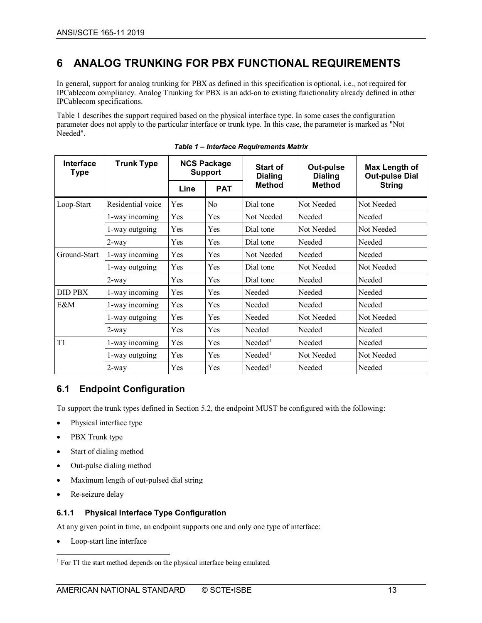# <span id="page-12-0"></span>**6 ANALOG TRUNKING FOR PBX FUNCTIONAL REQUIREMENTS**

In general, support for analog trunking for PBX as defined in this specification is optional, i.e., not required for IPCablecom compliancy. Analog Trunking for PBX is an add-on to existing functionality already defined in other IPCablecom specifications.

[Table](#page-12-3) 1 describes the support required based on the physical interface type. In some cases the configuration parameter does not apply to the particular interface or trunk type. In this case, the parameter is marked as "Not Needed".

<span id="page-12-3"></span>

| Interface<br><b>Type</b> | <b>Trunk Type</b> | <b>NCS Package</b><br><b>Support</b> |                | <b>Start of</b><br><b>Dialing</b> | Out-pulse<br><b>Dialing</b> | Max Length of<br><b>Out-pulse Dial</b> |
|--------------------------|-------------------|--------------------------------------|----------------|-----------------------------------|-----------------------------|----------------------------------------|
|                          |                   | Line                                 | <b>PAT</b>     | <b>Method</b>                     | <b>Method</b>               | <b>String</b>                          |
| Loop-Start               | Residential voice | Yes                                  | N <sub>0</sub> | Dial tone                         | Not Needed                  | Not Needed                             |
|                          | 1-way incoming    | Yes                                  | Yes            | Not Needed                        | Needed                      | Needed                                 |
|                          | 1-way outgoing    | Yes                                  | Yes            | Dial tone                         | Not Needed                  | Not Needed                             |
|                          | $2$ -way          | Yes                                  | Yes            | Dial tone                         | Needed                      | Needed                                 |
| Ground-Start             | 1-way incoming    | Yes                                  | Yes            | Not Needed                        | Needed                      | Needed                                 |
|                          | 1-way outgoing    | Yes                                  | Yes            | Dial tone                         | Not Needed                  | Not Needed                             |
|                          | $2$ -way          | Yes                                  | Yes            | Dial tone                         | Needed                      | Needed                                 |
| <b>DID PBX</b>           | 1-way incoming    | Yes                                  | Yes            | Needed                            | Needed                      | Needed                                 |
| E&M                      | 1-way incoming    | Yes                                  | Yes            | Needed                            | Needed                      | Needed                                 |
|                          | 1-way outgoing    | Yes                                  | Yes            | Needed                            | Not Needed                  | Not Needed                             |
|                          | $2$ -way          | Yes                                  | Yes            | Needed                            | Needed                      | Needed                                 |
| T1                       | 1-way incoming    | Yes                                  | Yes            | $N$ eeded <sup>1</sup>            | Needed                      | Needed                                 |
|                          | 1-way outgoing    | Yes                                  | Yes            | $N$ eeded <sup>1</sup>            | Not Needed                  | Not Needed                             |
|                          | $2$ -way          | Yes                                  | Yes            | $N$ eeded <sup>1</sup>            | Needed                      | Needed                                 |

<span id="page-12-4"></span>*Table 1 – Interface Requirements Matrix*

## <span id="page-12-1"></span>**6.1 Endpoint Configuration**

To support the trunk types defined in Section [5.2,](#page-9-2) the endpoint MUST be configured with the following:

- Physical interface type
- PBX Trunk type
- Start of dialing method
- Out-pulse dialing method
- Maximum length of out-pulsed dial string
- Re-seizure delay

#### <span id="page-12-2"></span>**6.1.1 Physical Interface Type Configuration**

At any given point in time, an endpoint supports one and only one type of interface:

Loop-start line interface

<span id="page-12-5"></span><sup>&</sup>lt;sup>1</sup> For T1 the start method depends on the physical interface being emulated.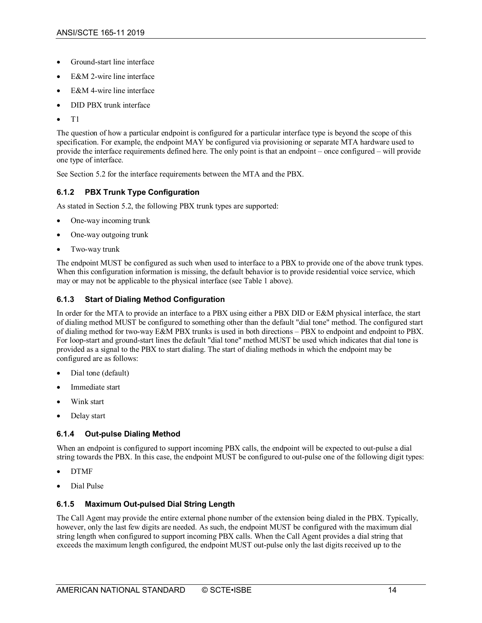- Ground-start line interface
- E&M 2-wire line interface
- E&M 4-wire line interface
- DID PBX trunk interface
- T1

The question of how a particular endpoint is configured for a particular interface type is beyond the scope of this specification. For example, the endpoint MAY be configured via provisioning or separate MTA hardware used to provide the interface requirements defined here. The only point is that an endpoint – once configured – will provide one type of interface.

See Section [5.2](#page-9-2) for the interface requirements between the MTA and the PBX.

#### <span id="page-13-0"></span>**6.1.2 PBX Trunk Type Configuration**

As stated in Section [5.2,](#page-9-2) the following PBX trunk types are supported:

- One-way incoming trunk
- One-way outgoing trunk
- Two-way trunk

The endpoint MUST be configured as such when used to interface to a PBX to provide one of the above trunk types. When this configuration information is missing, the default behavior is to provide residential voice service, which may or may not be applicable to the physical interface (see [Table](#page-12-3) 1 above).

#### <span id="page-13-1"></span>**6.1.3 Start of Dialing Method Configuration**

In order for the MTA to provide an interface to a PBX using either a PBX DID or E&M physical interface, the start of dialing method MUST be configured to something other than the default "dial tone" method. The configured start of dialing method for two-way E&M PBX trunks is used in both directions – PBX to endpoint and endpoint to PBX. For loop-start and ground-start lines the default "dial tone" method MUST be used which indicates that dial tone is provided as a signal to the PBX to start dialing. The start of dialing methods in which the endpoint may be configured are as follows:

- Dial tone (default)
- Immediate start
- Wink start
- Delay start

#### <span id="page-13-2"></span>**6.1.4 Out-pulse Dialing Method**

When an endpoint is configured to support incoming PBX calls, the endpoint will be expected to out-pulse a dial string towards the PBX. In this case, the endpoint MUST be configured to out-pulse one of the following digit types:

- DTMF
- Dial Pulse

#### <span id="page-13-3"></span>**6.1.5 Maximum Out-pulsed Dial String Length**

The Call Agent may provide the entire external phone number of the extension being dialed in the PBX. Typically, however, only the last few digits are needed. As such, the endpoint MUST be configured with the maximum dial string length when configured to support incoming PBX calls. When the Call Agent provides a dial string that exceeds the maximum length configured, the endpoint MUST out-pulse only the last digits received up to the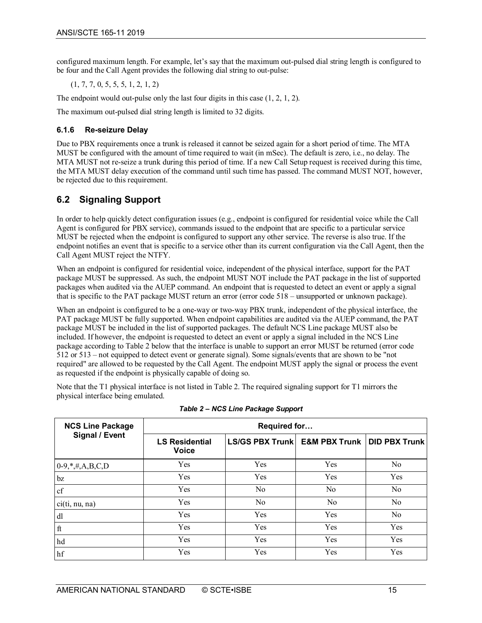configured maximum length. For example, let's say that the maximum out-pulsed dial string length is configured to be four and the Call Agent provides the following dial string to out-pulse:

(1, 7, 7, 0, 5, 5, 5, 1, 2, 1, 2)

The endpoint would out-pulse only the last four digits in this case (1, 2, 1, 2).

The maximum out-pulsed dial string length is limited to 32 digits.

#### <span id="page-14-0"></span>**6.1.6 Re-seizure Delay**

Due to PBX requirements once a trunk is released it cannot be seized again for a short period of time. The MTA MUST be configured with the amount of time required to wait (in mSec). The default is zero, i.e., no delay. The MTA MUST not re-seize a trunk during this period of time. If a new Call Setup request is received during this time, the MTA MUST delay execution of the command until such time has passed. The command MUST NOT, however, be rejected due to this requirement.

# <span id="page-14-1"></span>**6.2 Signaling Support**

In order to help quickly detect configuration issues (e.g., endpoint is configured for residential voice while the Call Agent is configured for PBX service), commands issued to the endpoint that are specific to a particular service MUST be rejected when the endpoint is configured to support any other service. The reverse is also true. If the endpoint notifies an event that is specific to a service other than its current configuration via the Call Agent, then the Call Agent MUST reject the NTFY.

When an endpoint is configured for residential voice, independent of the physical interface, support for the PAT package MUST be suppressed. As such, the endpoint MUST NOT include the PAT package in the list of supported packages when audited via the AUEP command. An endpoint that is requested to detect an event or apply a signal that is specific to the PAT package MUST return an error (error code 518 – unsupported or unknown package).

When an endpoint is configured to be a one-way or two-way PBX trunk, independent of the physical interface, the PAT package MUST be fully supported. When endpoint capabilities are audited via the AUEP command, the PAT package MUST be included in the list of supported packages. The default NCS Line package MUST also be included. If however, the endpoint is requested to detect an event or apply a signal included in the NCS Line package according t[o Table](#page-14-2) 2 below that the interface is unable to support an error MUST be returned (error code 512 or 513 – not equipped to detect event or generate signal). Some signals/events that are shown to be "not required" are allowed to be requested by the Call Agent. The endpoint MUST apply the signal or process the event as requested if the endpoint is physically capable of doing so.

Note that the T1 physical interface is not listed in [Table](#page-14-2) 2. The required signaling support for T1 mirrors the physical interface being emulated.

<span id="page-14-2"></span>

| <b>NCS Line Package</b> | Required for                          |                                                 |                |                |  |  |
|-------------------------|---------------------------------------|-------------------------------------------------|----------------|----------------|--|--|
| Signal / Event          | <b>LS Residential</b><br><b>Voice</b> | LS/GS PBX Trunk   E&M PBX Trunk   DID PBX Trunk |                |                |  |  |
| $0-9, *,#, A,B,C,D$     | Yes                                   | Yes                                             | Yes            | N <sub>0</sub> |  |  |
| bz                      | Yes                                   | Yes                                             | Yes            | Yes            |  |  |
| cf                      | Yes                                   | N <sub>o</sub>                                  | No             | N <sub>o</sub> |  |  |
| ci(ti, nu, na)          | Yes                                   | N <sub>o</sub>                                  | N <sub>o</sub> | N <sub>o</sub> |  |  |
| dl                      | Yes                                   | Yes                                             | Yes            | N <sub>o</sub> |  |  |
| $\operatorname{ft}$     | Yes                                   | Yes                                             | Yes            | Yes            |  |  |
| hd                      | Yes                                   | Yes                                             | Yes            | Yes            |  |  |
| hf                      | Yes                                   | Yes                                             | Yes            | Yes            |  |  |

*Table 2 – NCS Line Package Support*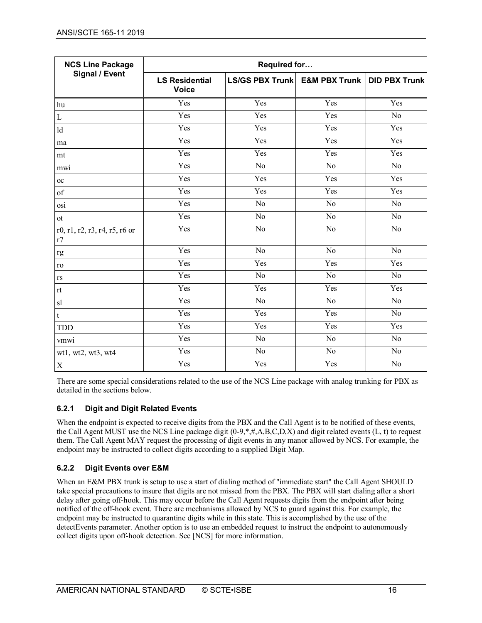| <b>NCS Line Package</b>             | Required for                          |                                 |                 |                      |  |  |
|-------------------------------------|---------------------------------------|---------------------------------|-----------------|----------------------|--|--|
| <b>Signal / Event</b>               | <b>LS Residential</b><br><b>Voice</b> | LS/GS PBX Trunk   E&M PBX Trunk |                 | <b>DID PBX Trunk</b> |  |  |
| hu                                  | Yes                                   | Yes                             | Yes             | Yes                  |  |  |
| $\mathbf L$                         | Yes                                   | Yes                             | Yes             | N <sub>o</sub>       |  |  |
| ld                                  | Yes                                   | Yes                             | Yes             | Yes                  |  |  |
| ma                                  | Yes                                   | Yes                             | Yes             | Yes                  |  |  |
| mt                                  | Yes                                   | Yes                             | Yes             | Yes                  |  |  |
| mwi                                 | Yes                                   | No                              | No              | N <sub>o</sub>       |  |  |
| $_{\rm oc}$                         | Yes                                   | Yes                             | Yes             | Yes                  |  |  |
| of                                  | Yes                                   | Yes                             | Yes             | Yes                  |  |  |
| osi                                 | Yes                                   | N <sub>o</sub>                  | N <sub>o</sub>  | No                   |  |  |
| ot                                  | Yes                                   | $\rm No$                        | $\rm No$        | No                   |  |  |
| r0, r1, r2, r3, r4, r5, r6 or<br>r7 | Yes                                   | No                              | N <sub>o</sub>  | N <sub>o</sub>       |  |  |
| $\mathbf{r}\mathbf{g}$              | Yes                                   | $\overline{No}$                 | No              | N <sub>o</sub>       |  |  |
| ro                                  | Yes                                   | Yes                             | Yes             | Yes                  |  |  |
| $\mathbf{r}\mathbf{s}$              | Yes                                   | N <sub>o</sub>                  | No              | N <sub>o</sub>       |  |  |
| rt                                  | Yes                                   | Yes                             | Yes             | Yes                  |  |  |
| sl                                  | Yes                                   | N <sub>o</sub>                  | $\overline{N}$  | $\overline{No}$      |  |  |
| $\mathbf t$                         | Yes                                   | Yes                             | Yes             | $\overline{No}$      |  |  |
| <b>TDD</b>                          | Yes                                   | Yes                             | Yes             | Yes                  |  |  |
| vmwi                                | Yes                                   | N <sub>o</sub>                  | N <sub>o</sub>  | No                   |  |  |
| wt1, wt2, wt3, wt4                  | Yes                                   | $\overline{No}$                 | $\overline{No}$ | $\overline{No}$      |  |  |
| $\mathbf X$                         | Yes                                   | Yes                             | Yes             | $\overline{No}$      |  |  |

There are some special considerations related to the use of the NCS Line package with analog trunking for PBX as detailed in the sections below.

#### <span id="page-15-0"></span>**6.2.1 Digit and Digit Related Events**

When the endpoint is expected to receive digits from the PBX and the Call Agent is to be notified of these events, the Call Agent MUST use the NCS Line package digit (0-9,\*,#,A,B,C,D,X) and digit related events (L, t) to request them. The Call Agent MAY request the processing of digit events in any manor allowed by NCS. For example, the endpoint may be instructed to collect digits according to a supplied Digit Map.

#### <span id="page-15-1"></span>**6.2.2 Digit Events over E&M**

When an E&M PBX trunk is setup to use a start of dialing method of "immediate start" the Call Agent SHOULD take special precautions to insure that digits are not missed from the PBX. The PBX will start dialing after a short delay after going off-hook. This may occur before the Call Agent requests digits from the endpoint after being notified of the off-hook event. There are mechanisms allowed by NCS to guard against this. For example, the endpoint may be instructed to quarantine digits while in this state. This is accomplished by the use of the detectEvents parameter. Another option is to use an embedded request to instruct the endpoint to autonomously collect digits upon off-hook detection. Se[e \[NCS\]](#page-6-3) for more information.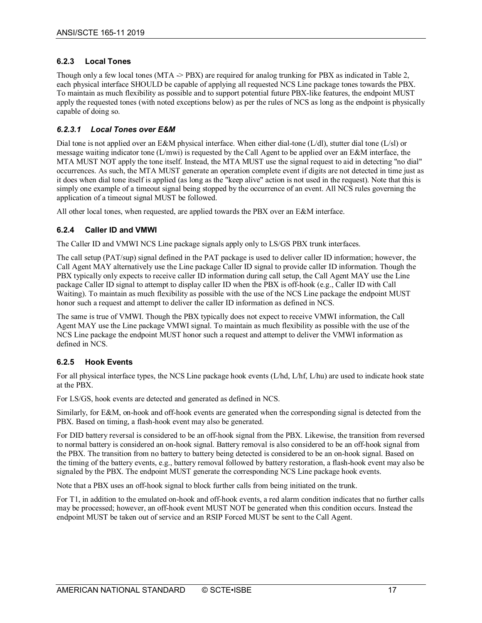#### <span id="page-16-0"></span>**6.2.3 Local Tones**

Though only a few local tones (MTA -> PBX) are required for analog trunking for PBX as indicated in [Table](#page-14-2) 2, each physical interface SHOULD be capable of applying all requested NCS Line package tones towards the PBX. To maintain as much flexibility as possible and to support potential future PBX-like features, the endpoint MUST apply the requested tones (with noted exceptions below) as per the rules of NCS as long as the endpoint is physically capable of doing so.

#### *6.2.3.1 Local Tones over E&M*

Dial tone is not applied over an E&M physical interface. When either dial-tone (L/dl), stutter dial tone (L/sl) or message waiting indicator tone (L/mwi) is requested by the Call Agent to be applied over an E&M interface, the MTA MUST NOT apply the tone itself. Instead, the MTA MUST use the signal request to aid in detecting "no dial" occurrences. As such, the MTA MUST generate an operation complete event if digits are not detected in time just as it does when dial tone itself is applied (as long as the "keep alive" action is not used in the request). Note that this is simply one example of a timeout signal being stopped by the occurrence of an event. All NCS rules governing the application of a timeout signal MUST be followed.

All other local tones, when requested, are applied towards the PBX over an E&M interface.

#### <span id="page-16-1"></span>**6.2.4 Caller ID and VMWI**

The Caller ID and VMWI NCS Line package signals apply only to LS/GS PBX trunk interfaces.

The call setup (PAT/sup) signal defined in the PAT package is used to deliver caller ID information; however, the Call Agent MAY alternatively use the Line package Caller ID signal to provide caller ID information. Though the PBX typically only expects to receive caller ID information during call setup, the Call Agent MAY use the Line package Caller ID signal to attempt to display caller ID when the PBX is off-hook (e.g., Caller ID with Call Waiting). To maintain as much flexibility as possible with the use of the NCS Line package the endpoint MUST honor such a request and attempt to deliver the caller ID information as defined in NCS.

The same is true of VMWI. Though the PBX typically does not expect to receive VMWI information, the Call Agent MAY use the Line package VMWI signal. To maintain as much flexibility as possible with the use of the NCS Line package the endpoint MUST honor such a request and attempt to deliver the VMWI information as defined in NCS.

#### <span id="page-16-2"></span>**6.2.5 Hook Events**

For all physical interface types, the NCS Line package hook events (L/hd, L/hf, L/hu) are used to indicate hook state at the PBX.

For LS/GS, hook events are detected and generated as defined in NCS.

Similarly, for E&M, on-hook and off-hook events are generated when the corresponding signal is detected from the PBX. Based on timing, a flash-hook event may also be generated.

For DID battery reversal is considered to be an off-hook signal from the PBX. Likewise, the transition from reversed to normal battery is considered an on-hook signal. Battery removal is also considered to be an off-hook signal from the PBX. The transition from no battery to battery being detected is considered to be an on-hook signal. Based on the timing of the battery events, e.g., battery removal followed by battery restoration, a flash-hook event may also be signaled by the PBX. The endpoint MUST generate the corresponding NCS Line package hook events.

Note that a PBX uses an off-hook signal to block further calls from being initiated on the trunk.

For T1, in addition to the emulated on-hook and off-hook events, a red alarm condition indicates that no further calls may be processed; however, an off-hook event MUST NOT be generated when this condition occurs. Instead the endpoint MUST be taken out of service and an RSIP Forced MUST be sent to the Call Agent.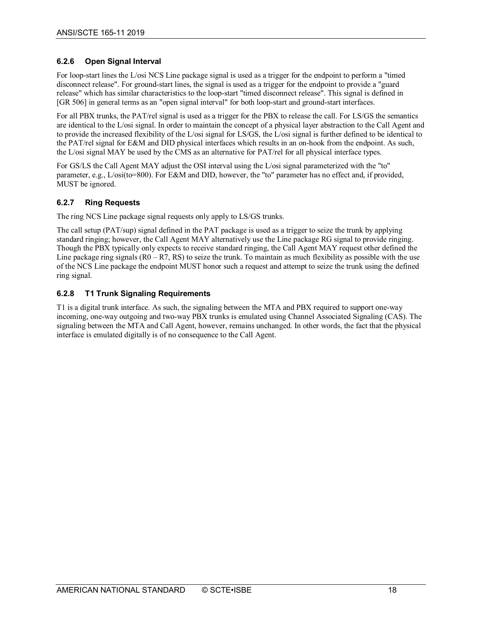#### <span id="page-17-0"></span>**6.2.6 Open Signal Interval**

For loop-start lines the L/osi NCS Line package signal is used as a trigger for the endpoint to perform a "timed disconnect release". For ground-start lines, the signal is used as a trigger for the endpoint to provide a "guard release" which has similar characteristics to the loop-start "timed disconnect release". This signal is defined in [GR [506\]](#page-6-9) in general terms as an "open signal interval" for both loop-start and ground-start interfaces.

For all PBX trunks, the PAT/rel signal is used as a trigger for the PBX to release the call. For LS/GS the semantics are identical to the L/osi signal. In order to maintain the concept of a physical layer abstraction to the Call Agent and to provide the increased flexibility of the L/osi signal for LS/GS, the L/osi signal is further defined to be identical to the PAT/rel signal for E&M and DID physical interfaces which results in an on-hook from the endpoint. As such, the L/osi signal MAY be used by the CMS as an alternative for PAT/rel for all physical interface types.

For GS/LS the Call Agent MAY adjust the OSI interval using the L/osi signal parameterized with the "to" parameter, e.g., L/osi(to=800). For E&M and DID, however, the "to" parameter has no effect and, if provided, MUST be ignored.

#### <span id="page-17-1"></span>**6.2.7 Ring Requests**

The ring NCS Line package signal requests only apply to LS/GS trunks.

The call setup (PAT/sup) signal defined in the PAT package is used as a trigger to seize the trunk by applying standard ringing; however, the Call Agent MAY alternatively use the Line package RG signal to provide ringing. Though the PBX typically only expects to receive standard ringing, the Call Agent MAY request other defined the Line package ring signals  $(0 - R7, RS)$  to seize the trunk. To maintain as much flexibility as possible with the use of the NCS Line package the endpoint MUST honor such a request and attempt to seize the trunk using the defined ring signal.

#### <span id="page-17-2"></span>**6.2.8 T1 Trunk Signaling Requirements**

T1 is a digital trunk interface. As such, the signaling between the MTA and PBX required to support one-way incoming, one-way outgoing and two-way PBX trunks is emulated using Channel Associated Signaling (CAS). The signaling between the MTA and Call Agent, however, remains unchanged. In other words, the fact that the physical interface is emulated digitally is of no consequence to the Call Agent.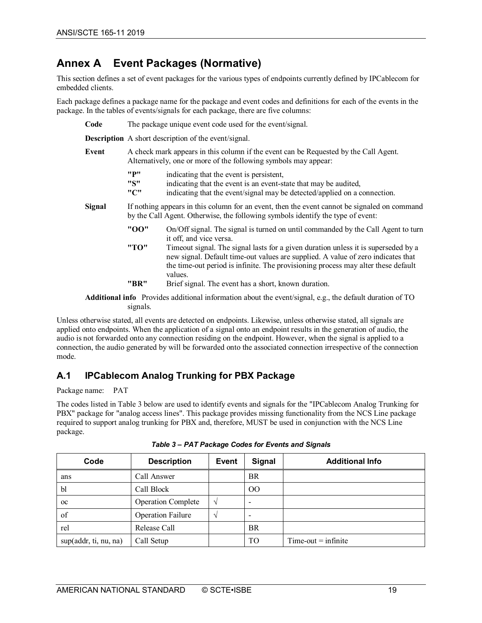# <span id="page-18-0"></span>**Annex A Event Packages (Normative)**

This section defines a set of event packages for the various types of endpoints currently defined by IPCablecom for embedded clients.

Each package defines a package name for the package and event codes and definitions for each of the events in the package. In the tables of events/signals for each package, there are five columns:

**Code** The package unique event code used for the event/signal.

| <b>Description</b> A short description of the event/signal. |                                                                                                                                                                                 |                                                                                                                                                                                                                                                                        |  |  |
|-------------------------------------------------------------|---------------------------------------------------------------------------------------------------------------------------------------------------------------------------------|------------------------------------------------------------------------------------------------------------------------------------------------------------------------------------------------------------------------------------------------------------------------|--|--|
| Event                                                       | A check mark appears in this column if the event can be Requested by the Call Agent.<br>Alternatively, one or more of the following symbols may appear:                         |                                                                                                                                                                                                                                                                        |  |  |
|                                                             | "P"<br>"S"<br>"C"                                                                                                                                                               | indicating that the event is persistent,<br>indicating that the event is an event-state that may be audited,<br>indicating that the event/signal may be detected/applied on a connection.                                                                              |  |  |
| Signal                                                      | If nothing appears in this column for an event, then the event cannot be signaled on command<br>by the Call Agent. Otherwise, the following symbols identify the type of event: |                                                                                                                                                                                                                                                                        |  |  |
|                                                             | "00"                                                                                                                                                                            | On/Off signal. The signal is turned on until commanded by the Call Agent to turn<br>it off, and vice versa.                                                                                                                                                            |  |  |
|                                                             | "ТО"                                                                                                                                                                            | Timeout signal. The signal lasts for a given duration unless it is superseded by a<br>new signal. Default time-out values are supplied. A value of zero indicates that<br>the time-out period is infinite. The provisioning process may alter these default<br>values. |  |  |
|                                                             | "BR"                                                                                                                                                                            | Brief signal. The event has a short, known duration.                                                                                                                                                                                                                   |  |  |

**Additional info** Provides additional information about the event/signal, e.g., the default duration of TO signals.

Unless otherwise stated, all events are detected on endpoints. Likewise, unless otherwise stated, all signals are applied onto endpoints. When the application of a signal onto an endpoint results in the generation of audio, the audio is not forwarded onto any connection residing on the endpoint. However, when the signal is applied to a connection, the audio generated by will be forwarded onto the associated connection irrespective of the connection mode.

# <span id="page-18-1"></span>**A.1 IPCablecom Analog Trunking for PBX Package**

Package name: PAT

The codes listed in [Table](#page-18-2) 3 below are used to identify events and signals for the "IPCablecom Analog Trunking for PBX" package for "analog access lines". This package provides missing functionality from the NCS Line package required to support analog trunking for PBX and, therefore, MUST be used in conjunction with the NCS Line package.

<span id="page-18-2"></span>

| Code                  | <b>Description</b>        | <b>Event</b>  | Signal         | <b>Additional Info</b> |
|-----------------------|---------------------------|---------------|----------------|------------------------|
| ans                   | Call Answer               |               | <b>BR</b>      |                        |
| bl                    | Call Block                |               | O <sub>O</sub> |                        |
| $_{\rm oc}$           | <b>Operation Complete</b> | $\mathcal{N}$ | ۰              |                        |
| of                    | <b>Operation Failure</b>  | $\mathcal{N}$ | ۰              |                        |
| rel                   | Release Call              |               | <b>BR</b>      |                        |
| sup(addr, ti, nu, na) | Call Setup                |               | TO             | $Time-out = infinite$  |

*Table 3 – PAT Package Codes for Events and Signals*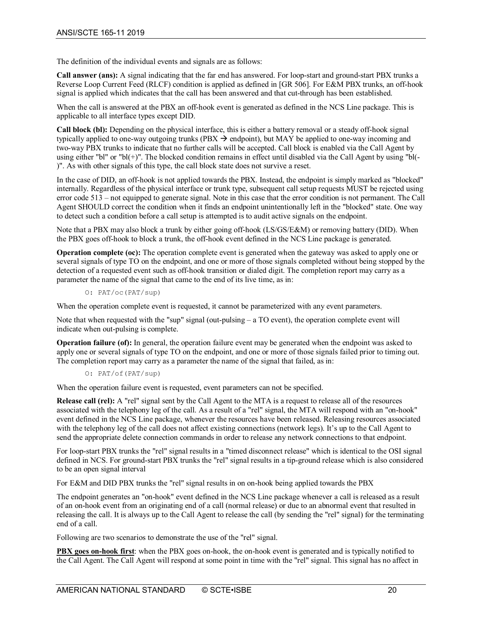The definition of the individual events and signals are as follows:

**Call answer (ans):** A signal indicating that the far end has answered. For loop-start and ground-start PBX trunks a Reverse Loop Current Feed (RLCF) condition is applied as defined in [GR [506\].](#page-6-9) For E&M PBX trunks, an off-hook signal is applied which indicates that the call has been answered and that cut-through has been established.

When the call is answered at the PBX an off-hook event is generated as defined in the NCS Line package. This is applicable to all interface types except DID.

**Call block (bl):** Depending on the physical interface, this is either a battery removal or a steady off-hook signal typically applied to one-way outgoing trunks (PBX  $\rightarrow$  endpoint), but MAY be applied to one-way incoming and two-way PBX trunks to indicate that no further calls will be accepted. Call block is enabled via the Call Agent by using either "bl" or "bl(+)". The blocked condition remains in effect until disabled via the Call Agent by using "bl(-)". As with other signals of this type, the call block state does not survive a reset.

In the case of DID, an off-hook is not applied towards the PBX. Instead, the endpoint is simply marked as "blocked" internally. Regardless of the physical interface or trunk type, subsequent call setup requests MUST be rejected using error code 513 – not equipped to generate signal. Note in this case that the error condition is not permanent. The Call Agent SHOULD correct the condition when it finds an endpoint unintentionally left in the "blocked" state. One way to detect such a condition before a call setup is attempted is to audit active signals on the endpoint.

Note that a PBX may also block a trunk by either going off-hook (LS/GS/E&M) or removing battery (DID). When the PBX goes off-hook to block a trunk, the off-hook event defined in the NCS Line package is generated.

**Operation complete (oc):** The operation complete event is generated when the gateway was asked to apply one or several signals of type TO on the endpoint, and one or more of those signals completed without being stopped by the detection of a requested event such as off-hook transition or dialed digit. The completion report may carry as a parameter the name of the signal that came to the end of its live time, as in:

O: PAT/oc(PAT/sup)

When the operation complete event is requested, it cannot be parameterized with any event parameters.

Note that when requested with the "sup" signal (out-pulsing – a TO event), the operation complete event will indicate when out-pulsing is complete.

**Operation failure (of):** In general, the operation failure event may be generated when the endpoint was asked to apply one or several signals of type TO on the endpoint, and one or more of those signals failed prior to timing out. The completion report may carry as a parameter the name of the signal that failed, as in:

O: PAT/of(PAT/sup)

When the operation failure event is requested, event parameters can not be specified.

**Release call (rel):** A "rel" signal sent by the Call Agent to the MTA is a request to release all of the resources associated with the telephony leg of the call. As a result of a "rel" signal, the MTA will respond with an "on-hook" event defined in the NCS Line package, whenever the resources have been released. Releasing resources associated with the telephony leg of the call does not affect existing connections (network legs). It's up to the Call Agent to send the appropriate delete connection commands in order to release any network connections to that endpoint.

For loop-start PBX trunks the "rel" signal results in a "timed disconnect release" which is identical to the OSI signal defined in NCS. For ground-start PBX trunks the "rel" signal results in a tip-ground release which is also considered to be an open signal interval

For E&M and DID PBX trunks the "rel" signal results in on on-hook being applied towards the PBX

The endpoint generates an "on-hook" event defined in the NCS Line package whenever a call is released as a result of an on-hook event from an originating end of a call (normal release) or due to an abnormal event that resulted in releasing the call. It is always up to the Call Agent to release the call (by sending the "rel" signal) for the terminating end of a call.

Following are two scenarios to demonstrate the use of the "rel" signal.

**PBX goes on-hook first:** when the PBX goes on-hook, the on-hook event is generated and is typically notified to the Call Agent. The Call Agent will respond at some point in time with the "rel" signal. This signal has no affect in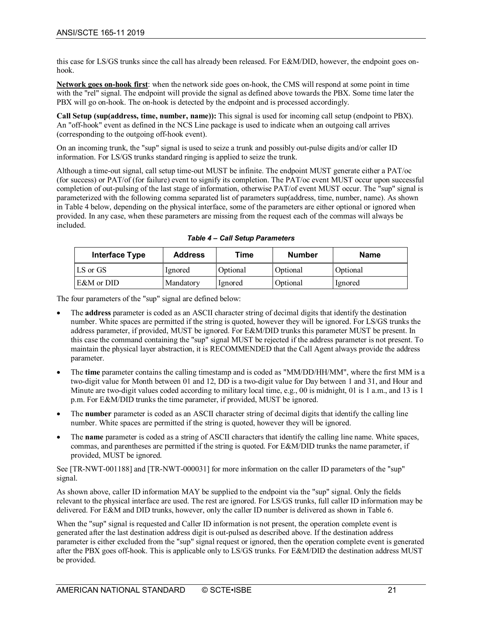this case for LS/GS trunks since the call has already been released. For E&M/DID, however, the endpoint goes onhook.

**Network goes on-hook first**: when the network side goes on-hook, the CMS will respond at some point in time with the "rel" signal. The endpoint will provide the signal as defined above towards the PBX. Some time later the PBX will go on-hook. The on-hook is detected by the endpoint and is processed accordingly.

**Call Setup (sup(address, time, number, name)):** This signal is used for incoming call setup (endpoint to PBX). An "off-hook" event as defined in the NCS Line package is used to indicate when an outgoing call arrives (corresponding to the outgoing off-hook event).

On an incoming trunk, the "sup" signal is used to seize a trunk and possibly out-pulse digits and/or caller ID information. For LS/GS trunks standard ringing is applied to seize the trunk.

Although a time-out signal, call setup time-out MUST be infinite. The endpoint MUST generate either a PAT/oc (for success) or PAT/of (for failure) event to signify its completion. The PAT/oc event MUST occur upon successful completion of out-pulsing of the last stage of information, otherwise PAT/of event MUST occur. The "sup" signal is parameterized with the following comma separated list of parameters sup(address, time, number, name). As shown in [Table](#page-20-0) 4 below, depending on the physical interface, some of the parameters are either optional or ignored when provided. In any case, when these parameters are missing from the request each of the commas will always be included.

<span id="page-20-0"></span>

| Interface Type | <b>Address</b> | Time     | <b>Number</b> | <b>Name</b> |
|----------------|----------------|----------|---------------|-------------|
| LS or GS       | lgnored        | Optional | Optional      | Optional    |
| E&M or DID     | Mandatory      | lgnored  | Optional      | lgnored     |

*Table 4 – Call Setup Parameters*

The four parameters of the "sup" signal are defined below:

- The **address** parameter is coded as an ASCII character string of decimal digits that identify the destination number. White spaces are permitted if the string is quoted, however they will be ignored. For LS/GS trunks the address parameter, if provided, MUST be ignored. For E&M/DID trunks this parameter MUST be present. In this case the command containing the "sup" signal MUST be rejected if the address parameter is not present. To maintain the physical layer abstraction, it is RECOMMENDED that the Call Agent always provide the address parameter.
- The **time** parameter contains the calling timestamp and is coded as "MM/DD/HH/MM", where the first MM is a two-digit value for Month between 01 and 12, DD is a two-digit value for Day between 1 and 31, and Hour and Minute are two-digit values coded according to military local time, e.g., 00 is midnight, 01 is 1 a.m., and 13 is 1 p.m. For E&M/DID trunks the time parameter, if provided, MUST be ignored.
- The **number** parameter is coded as an ASCII character string of decimal digits that identify the calling line number. White spaces are permitted if the string is quoted, however they will be ignored.
- The **name** parameter is coded as a string of ASCII characters that identify the calling line name. White spaces, commas, and parentheses are permitted if the string is quoted. For E&M/DID trunks the name parameter, if provided, MUST be ignored.

See [\[TR-NWT-001188\]](#page-6-10) an[d \[TR-NWT-000031\]](#page-6-11) for more information on the caller ID parameters of the "sup" signal.

As shown above, caller ID information MAY be supplied to the endpoint via the "sup" signal. Only the fields relevant to the physical interface are used. The rest are ignored. For LS/GS trunks, full caller ID information may be delivered. For E&M and DID trunks, however, only the caller ID number is delivered as shown in [Table](#page-21-1) 6.

When the "sup" signal is requested and Caller ID information is not present, the operation complete event is generated after the last destination address digit is out-pulsed as described above. If the destination address parameter is either excluded from the "sup" signal request or ignored, then the operation complete event is generated after the PBX goes off-hook. This is applicable only to LS/GS trunks. For E&M/DID the destination address MUST be provided.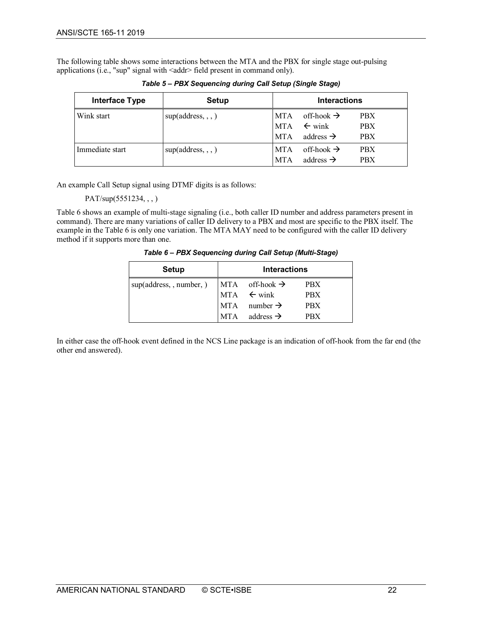<span id="page-21-0"></span>The following table shows some interactions between the MTA and the PBX for single stage out-pulsing applications (i.e., "sup" signal with <addr> field present in command only).

| <b>Interface Type</b> | <b>Setup</b>       | <b>Interactions</b>                    |                                                                      |                                        |
|-----------------------|--------------------|----------------------------------------|----------------------------------------------------------------------|----------------------------------------|
| Wink start            | sup(address, , , ) | <b>MTA</b><br><b>MTA</b><br><b>MTA</b> | off-hook $\rightarrow$<br>$\leftarrow$ wink<br>address $\rightarrow$ | <b>PBX</b><br><b>PBX</b><br><b>PBX</b> |
| Immediate start       | sup(address, , , ) | <b>MTA</b><br><b>MTA</b>               | off-hook $\rightarrow$<br>address $\rightarrow$                      | <b>PBX</b><br><b>PBX</b>               |

*Table 5 – PBX Sequencing during Call Setup (Single Stage)*

An example Call Setup signal using DTMF digits is as follows:

PAT/sup(5551234, , , )

<span id="page-21-1"></span>[Table](#page-21-1) 6 shows an example of multi-stage signaling (i.e., both caller ID number and address parameters present in command). There are many variations of caller ID delivery to a PBX and most are specific to the PBX itself. The example in th[e Table](#page-21-1) 6 is only one variation. The MTA MAY need to be configured with the caller ID delivery method if it supports more than one.

*Table 6 – PBX Sequencing during Call Setup (Multi-Stage)*

| <b>Setup</b>             | <b>Interactions</b> |                              |            |
|--------------------------|---------------------|------------------------------|------------|
| sup(address, , number, ) |                     | $MTA$ off-hook $\rightarrow$ | <b>PBX</b> |
|                          |                     | $MTA \leftarrow \text{wink}$ | <b>PBX</b> |
|                          |                     | $MTA$ number $\rightarrow$   | <b>PBX</b> |
|                          | <b>MTA</b>          | address $\rightarrow$        | <b>PRX</b> |

In either case the off-hook event defined in the NCS Line package is an indication of off-hook from the far end (the other end answered).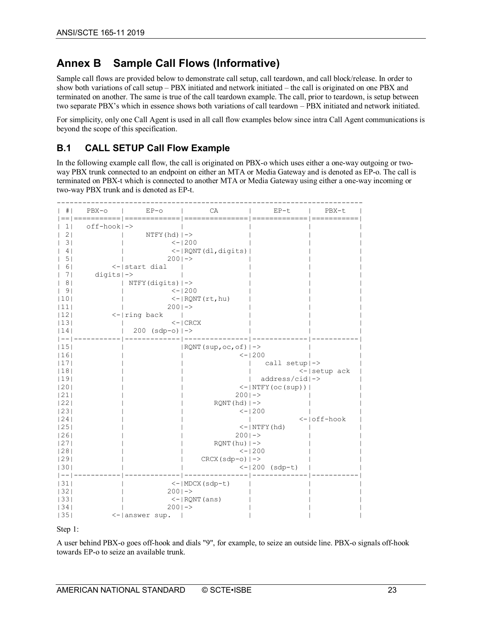# <span id="page-22-0"></span>**Annex B Sample Call Flows (Informative)**

Sample call flows are provided below to demonstrate call setup, call teardown, and call block/release. In order to show both variations of call setup – PBX initiated and network initiated – the call is originated on one PBX and terminated on another. The same is true of the call teardown example. The call, prior to teardown, is setup between two separate PBX's which in essence shows both variations of call teardown – PBX initiated and network initiated.

For simplicity, only one Call Agent is used in all call flow examples below since intra Call Agent communications is beyond the scope of this specification.

# <span id="page-22-1"></span>**B.1 CALL SETUP Call Flow Example**

In the following example call flow, the call is originated on PBX-o which uses either a one-way outgoing or twoway PBX trunk connected to an endpoint on either an MTA or Media Gateway and is denoted as EP-o. The call is terminated on PBX-t which is connected to another MTA or Media Gateway using either a one-way incoming or two-way PBX trunk and is denoted as EP-t.

| # <sub>1</sub> | $PBX - O$                | $EP-O$<br>==  ===========   ============= | CA<br>--------------                | $EP-t$<br>--------------                                                                                   | PBX-t<br>$=$ $=$ $=$ $=$ |
|----------------|--------------------------|-------------------------------------------|-------------------------------------|------------------------------------------------------------------------------------------------------------|--------------------------|
| $\mathbf{1}$   | off-hook ->              |                                           |                                     |                                                                                                            |                          |
| 21             |                          | $NTFY(hd)$   $->$                         |                                     |                                                                                                            |                          |
| 31             |                          |                                           | $< - 1200$                          |                                                                                                            |                          |
| 4              |                          |                                           | $\le$ - $ $ RQNT $(d1,$ digits $) $ |                                                                                                            |                          |
| 5              |                          | $2001 - >$                                |                                     |                                                                                                            |                          |
| 61             |                          | <-   start dial                           |                                     |                                                                                                            |                          |
| 71             | $digits$   $\rightarrow$ |                                           |                                     |                                                                                                            |                          |
| 8 <sub>1</sub> |                          | $NTFY$ (digits) $ ->$                     |                                     |                                                                                                            |                          |
| 9 <sub>1</sub> |                          |                                           | $<-1200$                            |                                                                                                            |                          |
| 10             |                          |                                           | $\leq -$   RQNT (rt, hu)            |                                                                                                            |                          |
| 111            |                          | $2001 - >$                                |                                     |                                                                                                            |                          |
| 12             |                          | $\leftarrow$   ring back                  |                                     |                                                                                                            |                          |
| 13             |                          |                                           | $\lt$ – $\mid$ CRCX                 |                                                                                                            |                          |
| 14             |                          | 200 (sdp-o)  ->                           |                                     |                                                                                                            |                          |
| $- -$          |                          |                                           |                                     |                                                                                                            |                          |
| 15             |                          |                                           | $ $ RQNT (sup, oc, of) $ ->$        |                                                                                                            |                          |
| 16             |                          |                                           |                                     | $<-1200$                                                                                                   |                          |
| 17             |                          |                                           |                                     | call setup ->                                                                                              |                          |
| 18             |                          |                                           |                                     |                                                                                                            | $\leftarrow$ setup ack   |
| 19             |                          |                                           |                                     | $address/cid$ ->                                                                                           |                          |
| 20             |                          |                                           |                                     | $\left\langle -\left\vert \text{NTFY}\left( \text{o}c\left( \text{sup}\right) \right. \right) \right\vert$ |                          |
| 21             |                          |                                           | $2001 - >$                          |                                                                                                            |                          |
| 22             |                          |                                           | $RONT(hd)$ $\rightarrow$            |                                                                                                            |                          |
| 23             |                          |                                           |                                     | $\le -1200$                                                                                                |                          |
| 24             |                          |                                           |                                     |                                                                                                            | <-loff-hook              |
| 25             |                          |                                           |                                     | $<- NTFY(hd) $                                                                                             |                          |
| 26             |                          |                                           | $2001 - >$                          |                                                                                                            |                          |
| 27             |                          |                                           | $RONT(hu)$ $\rightarrow$            |                                                                                                            |                          |
| 28 <br> 29     |                          |                                           |                                     | $<-1200$                                                                                                   |                          |
| 30             |                          |                                           | $CRCX(Sdp-o)$ $\mid$ ->             |                                                                                                            |                          |
|                |                          |                                           |                                     | $<-1200$ (sdp-t)                                                                                           |                          |
| 31             |                          |                                           | $\leftarrow$   MDCX (sdp-t)         |                                                                                                            |                          |
| 32             |                          | $2001 - >$                                |                                     |                                                                                                            |                          |
| 33             |                          |                                           | $<-$   RQNT (ans)                   |                                                                                                            |                          |
| 34             |                          | $2001 - >$                                |                                     |                                                                                                            |                          |
| 35             |                          | $\leq -$   answer sup.                    |                                     |                                                                                                            |                          |
|                |                          |                                           |                                     |                                                                                                            |                          |

Step 1:

A user behind PBX-o goes off-hook and dials "9", for example, to seize an outside line. PBX-o signals off-hook towards EP-o to seize an available trunk.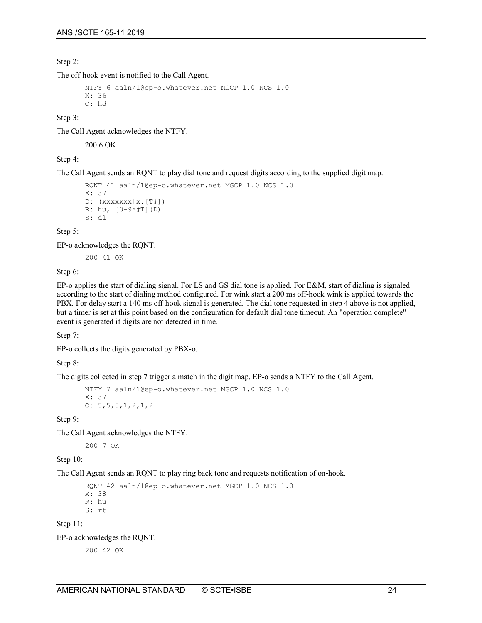Step 2:

The off-hook event is notified to the Call Agent.

```
NTFY 6 aaln/1@ep-o.whatever.net MGCP 1.0 NCS 1.0
X: 36
O: hd
```
Step 3:

The Call Agent acknowledges the NTFY.

200 6 OK

Step 4:

The Call Agent sends an RQNT to play dial tone and request digits according to the supplied digit map.

```
RQNT 41 aaln/1@ep-o.whatever.net MGCP 1.0 NCS 1.0
X: 37
D: (XXXXXX|X, [T]])R: hu, [0-9*#T](D)
S: dl
```
Step 5:

EP-o acknowledges the RQNT.

200 41 OK

Step 6:

EP-o applies the start of dialing signal. For LS and GS dial tone is applied. For E&M, start of dialing is signaled according to the start of dialing method configured. For wink start a 200 ms off-hook wink is applied towards the PBX. For delay start a 140 ms off-hook signal is generated. The dial tone requested in step 4 above is not applied, but a timer is set at this point based on the configuration for default dial tone timeout. An "operation complete" event is generated if digits are not detected in time.

Step 7:

EP-o collects the digits generated by PBX-o.

Step 8:

The digits collected in step 7 trigger a match in the digit map. EP-o sends a NTFY to the Call Agent.

```
NTFY 7 aaln/1@ep-o.whatever.net MGCP 1.0 NCS 1.0
X: 37
O: 5,5,5,1,2,1,2
```
Step 9:

The Call Agent acknowledges the NTFY.

200 7 OK

Step 10:

The Call Agent sends an RQNT to play ring back tone and requests notification of on-hook.

RQNT 42 aaln/1@ep-o.whatever.net MGCP 1.0 NCS 1.0 X: 38

R: hu

S: rt

Step 11:

EP-o acknowledges the RQNT.

200 42 OK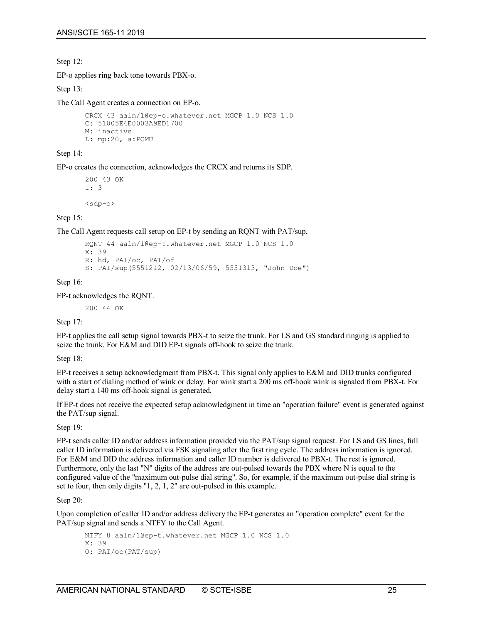Step 12:

EP-o applies ring back tone towards PBX-o.

Step 13:

The Call Agent creates a connection on EP-o.

```
CRCX 43 aaln/1@ep-o.whatever.net MGCP 1.0 NCS 1.0
C: 51005E4E0003A9ED1700
M: inactive
L: mp:20, a:PCMU
```
Step 14:

EP-o creates the connection, acknowledges the CRCX and returns its SDP.

200 43 OK I: 3  $<$ sdp-o $>$ 

Step 15:

The Call Agent requests call setup on EP-t by sending an RQNT with PAT/sup.

```
RQNT 44 aaln/1@ep-t.whatever.net MGCP 1.0 NCS 1.0
X: 39
R: hd, PAT/oc, PAT/of
S: PAT/sup(5551212, 02/13/06/59, 5551313, "John Doe")
```
Step 16:

EP-t acknowledges the RQNT.

200 44 OK

Step 17:

EP-t applies the call setup signal towards PBX-t to seize the trunk. For LS and GS standard ringing is applied to seize the trunk. For E&M and DID EP-t signals off-hook to seize the trunk.

Step 18:

EP-t receives a setup acknowledgment from PBX-t. This signal only applies to E&M and DID trunks configured with a start of dialing method of wink or delay. For wink start a 200 ms off-hook wink is signaled from PBX-t. For delay start a 140 ms off-hook signal is generated.

If EP-t does not receive the expected setup acknowledgment in time an "operation failure" event is generated against the PAT/sup signal.

Step 19:

EP-t sends caller ID and/or address information provided via the PAT/sup signal request. For LS and GS lines, full caller ID information is delivered via FSK signaling after the first ring cycle. The address information is ignored. For E&M and DID the address information and caller ID number is delivered to PBX-t. The rest is ignored. Furthermore, only the last "N" digits of the address are out-pulsed towards the PBX where N is equal to the configured value of the "maximum out-pulse dial string". So, for example, if the maximum out-pulse dial string is set to four, then only digits "1, 2, 1, 2" are out-pulsed in this example.

Step 20:

Upon completion of caller ID and/or address delivery the EP-t generates an "operation complete" event for the PAT/sup signal and sends a NTFY to the Call Agent.

```
NTFY 8 aaln/1@ep-t.whatever.net MGCP 1.0 NCS 1.0
X: 39
O: PAT/oc(PAT/sup)
```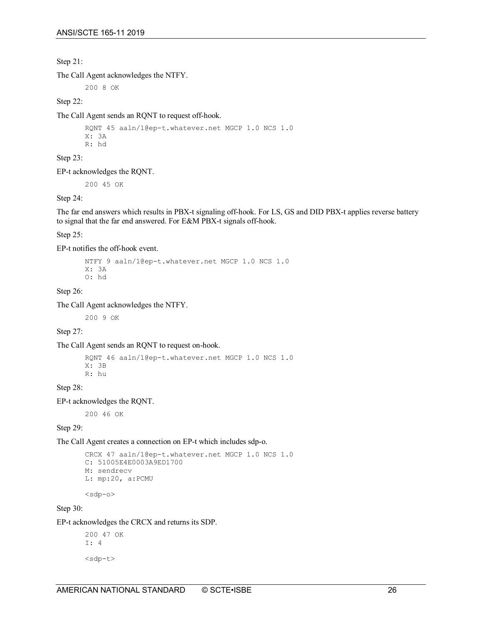Step 21:

The Call Agent acknowledges the NTFY.

200 8 OK

Step 22:

The Call Agent sends an RQNT to request off-hook.

```
RQNT 45 aaln/1@ep-t.whatever.net MGCP 1.0 NCS 1.0
X: 3A
R: hd
```
Step 23:

EP-t acknowledges the RQNT.

200 45 OK

Step 24:

The far end answers which results in PBX-t signaling off-hook. For LS, GS and DID PBX-t applies reverse battery to signal that the far end answered. For E&M PBX-t signals off-hook.

Step 25:

EP-t notifies the off-hook event.

```
NTFY 9 aaln/1@ep-t.whatever.net MGCP 1.0 NCS 1.0
X: 3A
O: hd
```
Step 26:

The Call Agent acknowledges the NTFY.

200 9 OK

Step 27:

The Call Agent sends an RQNT to request on-hook.

```
RQNT 46 aaln/1@ep-t.whatever.net MGCP 1.0 NCS 1.0
X: 3B
R: hu
```
Step 28:

EP-t acknowledges the RQNT.

200 46 OK

Step 29:

The Call Agent creates a connection on EP-t which includes sdp-o.

```
CRCX 47 aaln/1@ep-t.whatever.net MGCP 1.0 NCS 1.0
C: 51005E4E0003A9ED1700
M: sendrecv
L: mp:20, a:PCMU
```
 $<$ sdp-o $>$ 

Step 30:

EP-t acknowledges the CRCX and returns its SDP.

```
200 47 OK
I: 4
<sdp-t>
```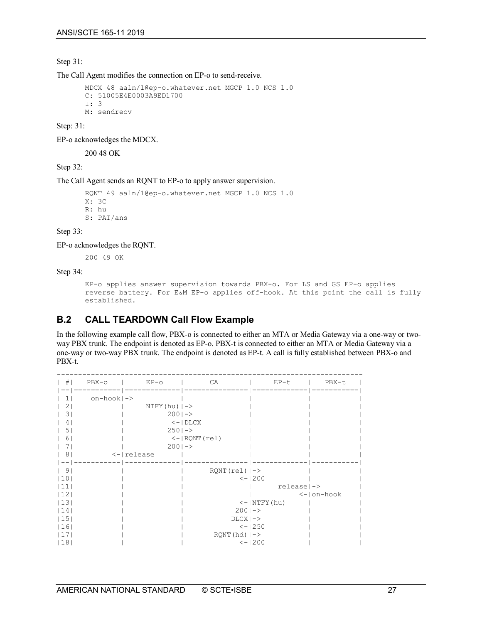Step 31:

The Call Agent modifies the connection on EP-o to send-receive.

```
MDCX 48 aaln/1@ep-o.whatever.net MGCP 1.0 NCS 1.0
C: 51005E4E0003A9ED1700
I: 3
M: sendrecv
```
Step: 31:

EP-o acknowledges the MDCX.

200 48 OK

Step 32:

#### The Call Agent sends an RQNT to EP-o to apply answer supervision.

```
RQNT 49 aaln/1@ep-o.whatever.net MGCP 1.0 NCS 1.0
X: 3C
R: hu
S: PAT/ans
```
Step 33:

EP-o acknowledges the RQNT.

200 49 OK

Step 34:

```
EP-o applies answer supervision towards PBX-o. For LS and GS EP-o applies 
reverse battery. For E&M EP-o applies off-hook. At this point the call is fully 
established.
```
## <span id="page-26-0"></span>**B.2 CALL TEARDOWN Call Flow Example**

In the following example call flow, PBX-o is connected to either an MTA or Media Gateway via a one-way or twoway PBX trunk. The endpoint is denoted as EP-o. PBX-t is connected to either an MTA or Media Gateway via a one-way or two-way PBX trunk. The endpoint is denoted as EP-t. A call is fully established between PBX-o and PBX-t.

| #  | $PBX-O$                 | $EP-O$                          | CA                                       | $EP-t$                   | PBX-t            |
|----|-------------------------|---------------------------------|------------------------------------------|--------------------------|------------------|
|    |                         |                                 |                                          |                          |                  |
|    | $on-hook$ $\rightarrow$ |                                 |                                          |                          |                  |
|    |                         | $NTFY(hu)$ $\mid$ $\rightarrow$ |                                          |                          |                  |
| 3  |                         | $200$  ->                       |                                          |                          |                  |
|    |                         |                                 | $\lt$ -   DLCX                           |                          |                  |
| 5. |                         | $250  -$                        |                                          |                          |                  |
| 6  |                         |                                 | $\le -$   RQNT (rel)                     |                          |                  |
|    |                         | $2001 - >$                      |                                          |                          |                  |
| 8  |                         | $\leftarrow$   release          |                                          |                          |                  |
|    |                         |                                 |                                          |                          |                  |
| 9  |                         |                                 | $RONT(re1)$ $\left  \rightarrow \right $ |                          |                  |
| 10 |                         |                                 |                                          | $<-1200$                 |                  |
| 11 |                         |                                 |                                          | $relcase \rightarrow$    |                  |
| 12 |                         |                                 |                                          |                          | $<-$   $on-hook$ |
| 13 |                         |                                 |                                          | $\leftarrow$   NTFY (hu) |                  |
| 14 |                         |                                 | $2001 - >$                               |                          |                  |
| 15 |                         |                                 | $DLCX$   $->$                            |                          |                  |
| 16 |                         |                                 |                                          | $<-1250$                 |                  |
| 17 |                         |                                 | $RQNT(hd)$ $\Rightarrow$                 |                          |                  |
| 18 |                         |                                 |                                          | $<-1200$                 |                  |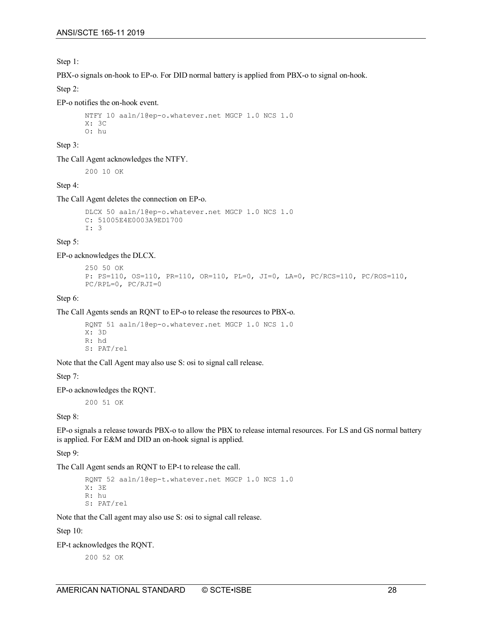Step 1:

PBX-o signals on-hook to EP-o. For DID normal battery is applied from PBX-o to signal on-hook.

Step 2:

EP-o notifies the on-hook event.

```
NTFY 10 aaln/1@ep-o.whatever.net MGCP 1.0 NCS 1.0
X: 3C
O: hu
```
Step 3:

The Call Agent acknowledges the NTFY.

200 10 OK

Step 4:

The Call Agent deletes the connection on EP-o.

```
DLCX 50 aaln/1@ep-o.whatever.net MGCP 1.0 NCS 1.0
C: 51005E4E0003A9ED1700
I: 3
```
Step 5:

EP-o acknowledges the DLCX.

```
250 50 OK
P: PS=110, OS=110, PR=110, OR=110, PL=0, JI=0, LA=0, PC/RCS=110, PC/ROS=110, 
PC/RPL=0, PC/RJI=0
```
Step 6:

The Call Agents sends an RQNT to EP-o to release the resources to PBX-o.

```
RQNT 51 aaln/1@ep-o.whatever.net MGCP 1.0 NCS 1.0
X: 3D
R: hd
S: PAT/rel
```
Note that the Call Agent may also use S: osi to signal call release.

Step 7:

EP-o acknowledges the RQNT.

200 51 OK

Step 8:

EP-o signals a release towards PBX-o to allow the PBX to release internal resources. For LS and GS normal battery is applied. For E&M and DID an on-hook signal is applied.

Step 9:

The Call Agent sends an RQNT to EP-t to release the call.

```
RQNT 52 aaln/1@ep-t.whatever.net MGCP 1.0 NCS 1.0
X: 3E
R: hu
S: PAT/rel
```
Note that the Call agent may also use S: osi to signal call release.

Step 10:

EP-t acknowledges the RQNT.

200 52 OK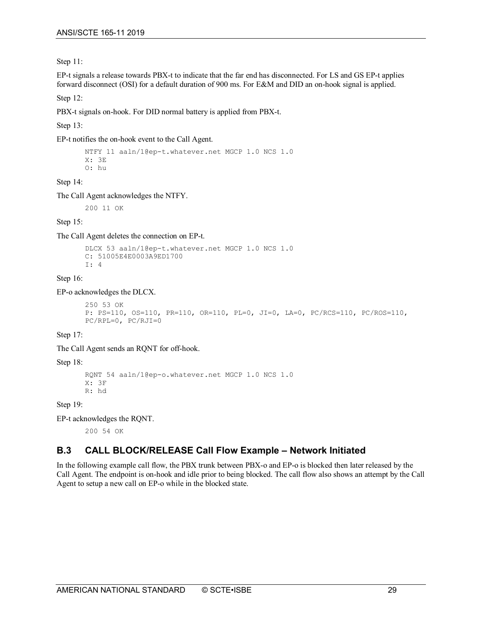Step 11:

EP-t signals a release towards PBX-t to indicate that the far end has disconnected. For LS and GS EP-t applies forward disconnect (OSI) for a default duration of 900 ms. For E&M and DID an on-hook signal is applied.

Step 12:

PBX-t signals on-hook. For DID normal battery is applied from PBX-t.

Step 13:

EP-t notifies the on-hook event to the Call Agent.

```
NTFY 11 aaln/1@ep-t.whatever.net MGCP 1.0 NCS 1.0
X: 3E
O: hu
```
#### Step 14:

The Call Agent acknowledges the NTFY.

200 11 OK

Step 15:

The Call Agent deletes the connection on EP-t.

```
DLCX 53 aaln/1@ep-t.whatever.net MGCP 1.0 NCS 1.0
C: 51005E4E0003A9ED1700
I: 4
```
#### Step 16:

EP-o acknowledges the DLCX.

```
250 53 OK
P: PS=110, OS=110, PR=110, OR=110, PL=0, JI=0, LA=0, PC/RCS=110, PC/ROS=110, 
PC/RPL=0, PC/RJI=0
```
Step 17:

The Call Agent sends an RQNT for off-hook.

#### Step 18:

```
RQNT 54 aaln/1@ep-o.whatever.net MGCP 1.0 NCS 1.0
X: 3F
R: hd
```
Step 19:

EP-t acknowledges the RQNT.

200 54 OK

## <span id="page-28-0"></span>**B.3 CALL BLOCK/RELEASE Call Flow Example – Network Initiated**

In the following example call flow, the PBX trunk between PBX-o and EP-o is blocked then later released by the Call Agent. The endpoint is on-hook and idle prior to being blocked. The call flow also shows an attempt by the Call Agent to setup a new call on EP-o while in the blocked state.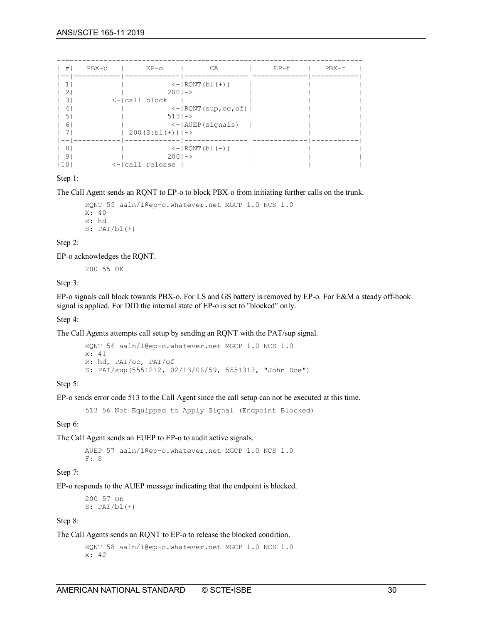| $\left  \quad \right $ | PBX-0 | $EP-O$                       | CA                                          | $EP-t$ | PBX-t |
|------------------------|-------|------------------------------|---------------------------------------------|--------|-------|
| $==$                   |       |                              | $\le -$   RONT (bl(+))                      |        |       |
|                        |       | $2001 - >$                   |                                             |        |       |
| $\left  \right $ 3     |       | $\leftarrow$  call block     |                                             |        |       |
| 4                      |       |                              | $\le -$  RQNT (sup, oc, of)                 |        |       |
| .5                     |       | $5131 - >$                   |                                             |        |       |
| 6                      |       |                              | $\le$ - $\vert$ AUEP(signals)               |        |       |
|                        |       | $200(S:b1(+))$ $\rightarrow$ |                                             |        |       |
|                        |       |                              |                                             |        |       |
| 8                      |       |                              | $\left\{ -   \text{RONT} (b1 (-)) \right\}$ |        |       |
| 9                      |       | $2001 - >$                   |                                             |        |       |
| 110                    |       | <- call_release              |                                             |        |       |

Step 1:

The Call Agent sends an RQNT to EP-o to block PBX-o from initiating further calls on the trunk.

```
RQNT 55 aaln/1@ep-o.whatever.net MGCP 1.0 NCS 1.0
X: 40
R: hd
S: PAT/bl(+)
```
Step 2:

EP-o acknowledges the RQNT.

200 55 OK

Step 3:

EP-o signals call block towards PBX-o. For LS and GS battery is removed by EP-o. For E&M a steady off-hook signal is applied. For DID the internal state of EP-o is set to "blocked" only.

Step 4:

The Call Agents attempts call setup by sending an RQNT with the PAT/sup signal.

```
RQNT 56 aaln/1@ep-o.whatever.net MGCP 1.0 NCS 1.0
X: 41
R: hd, PAT/oc, PAT/of
S: PAT/sup(5551212, 02/13/06/59, 5551313, "John Doe")
```
Step 5:

EP-o sends error code 513 to the Call Agent since the call setup can not be executed at this time.

513 56 Not Equipped to Apply Signal (Endpoint Blocked)

Step 6:

The Call Agent sends an EUEP to EP-o to audit active signals.

AUEP 57 aaln/1@ep-o.whatever.net MGCP 1.0 NCS 1.0 F: S

Step 7:

EP-o responds to the AUEP message indicating that the endpoint is blocked.

200 57 OK  $S:$  PAT/bl $(+)$ 

Step 8:

The Call Agents sends an RQNT to EP-o to release the blocked condition.

```
RQNT 58 aaln/1@ep-o.whatever.net MGCP 1.0 NCS 1.0
X: 42
```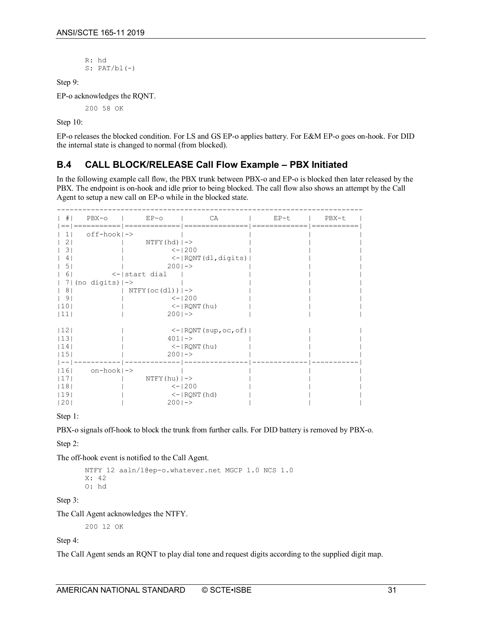R: hd  $S:$  PAT/bl $(-)$ 

Step 9:

EP-o acknowledges the RQNT.

200 58 OK

Step 10:

EP-o releases the blocked condition. For LS and GS EP-o applies battery. For E&M EP-o goes on-hook. For DID the internal state is changed to normal (from blocked).

## <span id="page-30-0"></span>**B.4 CALL BLOCK/RELEASE Call Flow Example – PBX Initiated**

In the following example call flow, the PBX trunk between PBX-o and EP-o is blocked then later released by the PBX. The endpoint is on-hook and idle prior to being blocked. The call flow also shows an attempt by the Call Agent to setup a new call on EP-o while in the blocked state.

| #              | $PBX - O$               | $EP-O$                           | CA                                      | EP-t | PBX-t |
|----------------|-------------------------|----------------------------------|-----------------------------------------|------|-------|
|                | $off-hook$  ->          |                                  |                                         |      |       |
| 2.             |                         | $NTFY(hd)$ $\vert$ $\rightarrow$ |                                         |      |       |
| 3.             |                         |                                  | $<-1200$                                |      |       |
|                |                         |                                  | $\leftarrow$   RQNT (dl, digits)        |      |       |
| 5.             |                         | $2001 - >$                       |                                         |      |       |
| 6              |                         | $\leftarrow$   start dial        |                                         |      |       |
|                | $7   (no digits)  ->$   |                                  |                                         |      |       |
| 8 <sup>1</sup> |                         | $NTFY$ (oc (dl)) $ ->$           |                                         |      |       |
| 9              |                         |                                  | $<-1200$                                |      |       |
| 10             |                         |                                  | $\le -$   RQNT (hu)                     |      |       |
| 11             |                         | $2001 - >$                       |                                         |      |       |
|                |                         |                                  |                                         |      |       |
| 12             |                         |                                  | $\le$ - $\vert$ RQNT(sup,oc,of) $\vert$ |      |       |
| 13             |                         | $4011 - >$                       |                                         |      |       |
| l 14           |                         |                                  | $\le -$   RQNT (hu)                     |      |       |
| 15             |                         | $2001 - >$                       |                                         |      |       |
|                |                         |                                  |                                         |      |       |
| 16             | $on-hook$ $\rightarrow$ |                                  |                                         |      |       |
| 17             |                         | $NTFY(hu)$   $->$                |                                         |      |       |
| 18             |                         |                                  | $<-1200$                                |      |       |
| 19             |                         |                                  | $\le$ - $ $ RQNT (hd)                   |      |       |
| 20             |                         | $200$  ->                        |                                         |      |       |

Step 1:

PBX-o signals off-hook to block the trunk from further calls. For DID battery is removed by PBX-o.

Step 2:

The off-hook event is notified to the Call Agent.

```
NTFY 12 aaln/1@ep-o.whatever.net MGCP 1.0 NCS 1.0
X: 42
O: hd
```
Step 3:

The Call Agent acknowledges the NTFY.

200 12 OK

Step 4:

The Call Agent sends an RQNT to play dial tone and request digits according to the supplied digit map.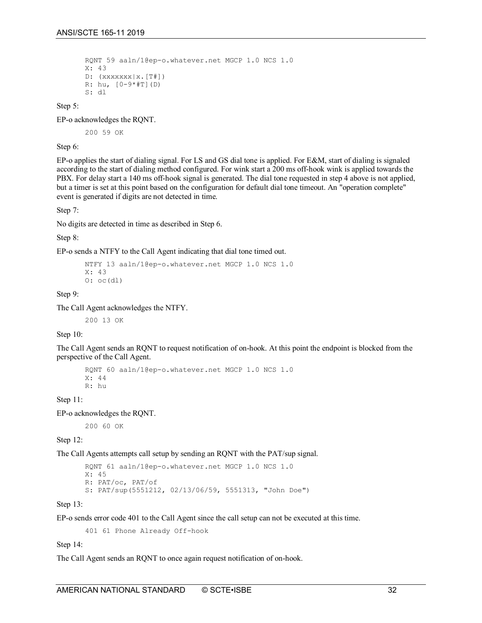```
RQNT 59 aaln/1@ep-o.whatever.net MGCP 1.0 NCS 1.0
X: 43
D: (xxxxxxx|x.[T]]R: hu, [0-9*#T](D)
S: dl
```
Step 5:

EP-o acknowledges the RQNT.

200 59 OK

Step 6:

EP-o applies the start of dialing signal. For LS and GS dial tone is applied. For E&M, start of dialing is signaled according to the start of dialing method configured. For wink start a 200 ms off-hook wink is applied towards the PBX. For delay start a 140 ms off-hook signal is generated. The dial tone requested in step 4 above is not applied, but a timer is set at this point based on the configuration for default dial tone timeout. An "operation complete" event is generated if digits are not detected in time.

Step 7:

No digits are detected in time as described in Step 6.

Step 8:

EP-o sends a NTFY to the Call Agent indicating that dial tone timed out.

```
NTFY 13 aaln/1@ep-o.whatever.net MGCP 1.0 NCS 1.0
X: 43
0: oc(d1)
```
Step 9:

The Call Agent acknowledges the NTFY.

200 13 OK

Step 10:

The Call Agent sends an RQNT to request notification of on-hook. At this point the endpoint is blocked from the perspective of the Call Agent.

```
RQNT 60 aaln/1@ep-o.whatever.net MGCP 1.0 NCS 1.0
X: 44
R: hu
```
Step 11:

EP-o acknowledges the RQNT.

200 60 OK

Step 12:

The Call Agents attempts call setup by sending an RQNT with the PAT/sup signal.

```
RQNT 61 aaln/1@ep-o.whatever.net MGCP 1.0 NCS 1.0
X: 45
R: PAT/oc, PAT/of
S: PAT/sup(5551212, 02/13/06/59, 5551313, "John Doe")
```
Step 13:

EP-o sends error code 401 to the Call Agent since the call setup can not be executed at this time.

401 61 Phone Already Off-hook

Step 14:

The Call Agent sends an RQNT to once again request notification of on-hook.